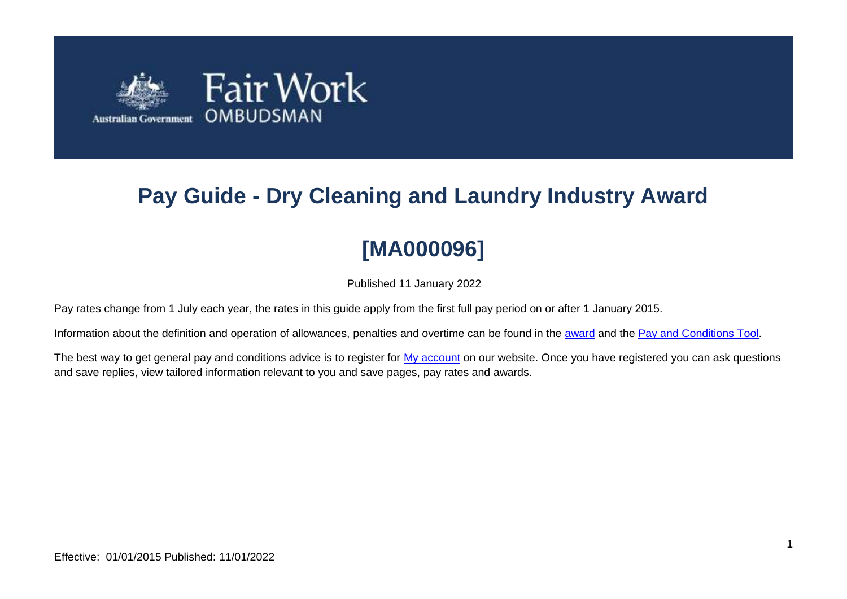

# **Pay Guide - Dry Cleaning and Laundry Industry Award**

# **[MA000096]**

Published 11 January 2022

Pay rates change from 1 July each year, the rates in this guide apply from the first full pay period on or after 1 January 2015.

Information about the definition and operation of allowances, penalties and overtime can be found in the [award](https://www.fairwork.gov.au/awards-and-agreements/awards/list-of-awards) and the [Pay and Conditions Tool.](https://calculate.fairwork.gov.au/)

The best way to get general pay and conditions advice is to register for [My account](https://www.fairwork.gov.au/my-account/registerpage.aspx) on our website. Once you have registered you can ask questions and save replies, view tailored information relevant to you and save pages, pay rates and awards.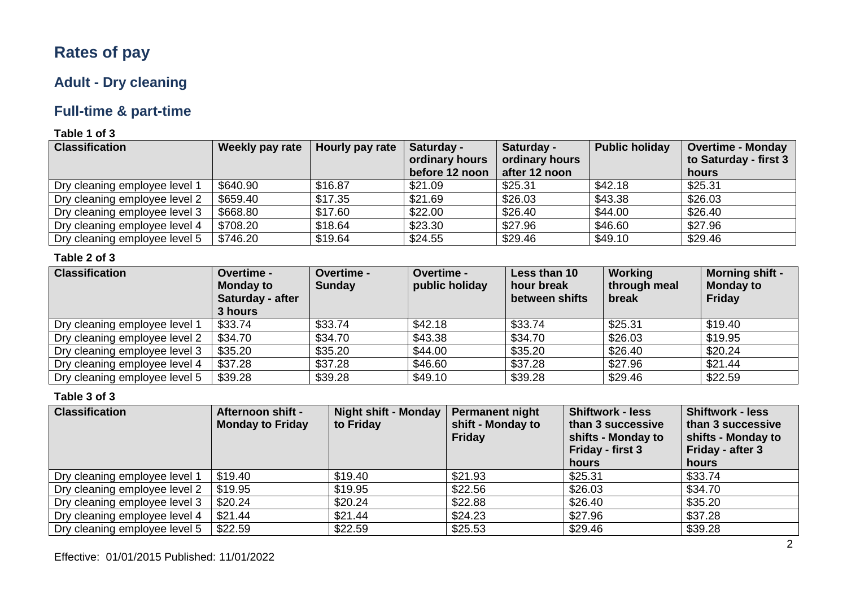# **Rates of pay**

# **Adult - Dry cleaning**

# **Full-time & part-time**

### **Table 1 of 3**

| <b>Classification</b>         | Weekly pay rate | Hourly pay rate | Saturday -     | Saturday -     | <b>Public holiday</b> | <b>Overtime - Monday</b> |
|-------------------------------|-----------------|-----------------|----------------|----------------|-----------------------|--------------------------|
|                               |                 |                 | ordinary hours | ordinary hours |                       | to Saturday - first 3    |
|                               |                 |                 | before 12 noon | after 12 noon  |                       | hours                    |
| Dry cleaning employee level 1 | \$640.90        | \$16.87         | \$21.09        | \$25.31        | \$42.18               | \$25.31                  |
| Dry cleaning employee level 2 | \$659.40        | \$17.35         | \$21.69        | \$26.03        | \$43.38               | \$26.03                  |
| Dry cleaning employee level 3 | \$668.80        | \$17.60         | \$22.00        | \$26.40        | \$44.00               | \$26.40                  |
| Dry cleaning employee level 4 | \$708.20        | \$18.64         | \$23.30        | \$27.96        | \$46.60               | \$27.96                  |
| Dry cleaning employee level 5 | \$746.20        | \$19.64         | \$24.55        | \$29.46        | \$49.10               | \$29.46                  |

### **Table 2 of 3**

| <b>Classification</b>         | <b>Overtime -</b><br><b>Monday to</b><br>Saturday - after<br>3 hours | Overtime -<br><b>Sunday</b> | Overtime -<br>public holiday | Less than 10<br>hour break<br>between shifts | Working<br>through meal<br>break | <b>Morning shift -</b><br><b>Monday to</b><br>Friday |
|-------------------------------|----------------------------------------------------------------------|-----------------------------|------------------------------|----------------------------------------------|----------------------------------|------------------------------------------------------|
| Dry cleaning employee level 1 | \$33.74                                                              | \$33.74                     | \$42.18                      | \$33.74                                      | \$25.31                          | \$19.40                                              |
| Dry cleaning employee level 2 | \$34.70                                                              | \$34.70                     | \$43.38                      | \$34.70                                      | \$26.03                          | \$19.95                                              |
| Dry cleaning employee level 3 | \$35.20                                                              | \$35.20                     | \$44.00                      | \$35.20                                      | \$26.40                          | \$20.24                                              |
| Dry cleaning employee level 4 | \$37.28                                                              | \$37.28                     | \$46.60                      | \$37.28                                      | \$27.96                          | \$21.44                                              |
| Dry cleaning employee level 5 | \$39.28                                                              | \$39.28                     | \$49.10                      | \$39.28                                      | \$29.46                          | \$22.59                                              |

| <b>Classification</b>         | <b>Afternoon shift -</b><br><b>Monday to Friday</b> | <b>Night shift - Monday</b><br>to Friday | <b>Permanent night</b><br>shift - Monday to<br><b>Friday</b> | <b>Shiftwork - less</b><br>than 3 successive<br>shifts - Monday to<br>Friday - first 3<br>hours | <b>Shiftwork - less</b><br>than 3 successive<br>shifts - Monday to<br>Friday - after 3<br>hours |
|-------------------------------|-----------------------------------------------------|------------------------------------------|--------------------------------------------------------------|-------------------------------------------------------------------------------------------------|-------------------------------------------------------------------------------------------------|
|                               |                                                     |                                          |                                                              |                                                                                                 |                                                                                                 |
| Dry cleaning employee level 1 | \$19.40                                             | \$19.40                                  | \$21.93                                                      | \$25.31                                                                                         | \$33.74                                                                                         |
| Dry cleaning employee level 2 | \$19.95                                             | \$19.95                                  | \$22.56                                                      | \$26.03                                                                                         | \$34.70                                                                                         |
| Dry cleaning employee level 3 | \$20.24                                             | \$20.24                                  | \$22.88                                                      | \$26.40                                                                                         | \$35.20                                                                                         |
| Dry cleaning employee level 4 | \$21.44                                             | \$21.44                                  | \$24.23                                                      | \$27.96                                                                                         | \$37.28                                                                                         |
| Dry cleaning employee level 5 | \$22.59                                             | \$22.59                                  | \$25.53                                                      | \$29.46                                                                                         | \$39.28                                                                                         |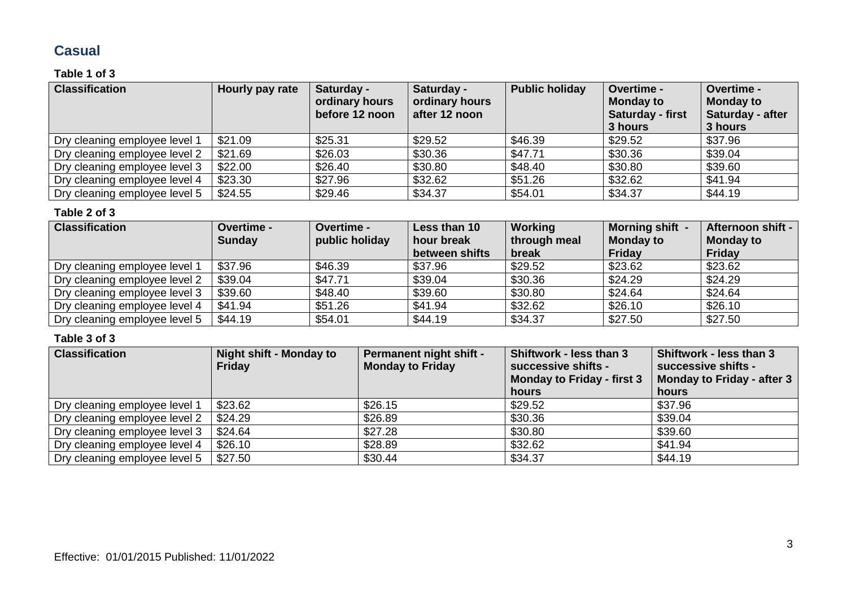### **Casual**

#### **Table 1 of 3**

| <b>Classification</b>         | Hourly pay rate | Saturday -<br>ordinary hours<br>before 12 noon | Saturday -<br>ordinary hours<br>after 12 noon | <b>Public holiday</b> | <b>Overtime -</b><br><b>Monday to</b><br>Saturday - first<br>3 hours | Overtime -<br><b>Monday to</b><br>Saturday - after<br>3 hours |
|-------------------------------|-----------------|------------------------------------------------|-----------------------------------------------|-----------------------|----------------------------------------------------------------------|---------------------------------------------------------------|
| Dry cleaning employee level 1 | \$21.09         | \$25.31                                        | \$29.52                                       | \$46.39               | \$29.52                                                              | \$37.96                                                       |
| Dry cleaning employee level 2 | \$21.69         | \$26.03                                        | \$30.36                                       | \$47.71               | \$30.36                                                              | \$39.04                                                       |
| Dry cleaning employee level 3 | \$22.00         | \$26.40                                        | \$30.80                                       | \$48.40               | \$30.80                                                              | \$39.60                                                       |
| Dry cleaning employee level 4 | \$23.30         | \$27.96                                        | \$32.62                                       | \$51.26               | \$32.62                                                              | \$41.94                                                       |
| Dry cleaning employee level 5 | \$24.55         | \$29.46                                        | \$34.37                                       | \$54.01               | \$34.37                                                              | \$44.19                                                       |

#### **Table 2 of 3**

| <b>Classification</b>         | Overtime -<br><b>Sunday</b> | Overtime -<br>public holiday | Less than 10<br>hour break<br>between shifts | Working<br>through meal<br>break | Morning shift -<br><b>Monday to</b><br>Friday | Afternoon shift -<br><b>Monday to</b><br><b>Friday</b> |
|-------------------------------|-----------------------------|------------------------------|----------------------------------------------|----------------------------------|-----------------------------------------------|--------------------------------------------------------|
| Dry cleaning employee level 1 | \$37.96                     | \$46.39                      | \$37.96                                      | \$29.52                          | \$23.62                                       | \$23.62                                                |
| Dry cleaning employee level 2 | \$39.04                     | \$47.71                      | \$39.04                                      | \$30.36                          | \$24.29                                       | \$24.29                                                |
| Dry cleaning employee level 3 | \$39.60                     | \$48.40                      | \$39.60                                      | \$30.80                          | \$24.64                                       | \$24.64                                                |
| Dry cleaning employee level 4 | \$41.94                     | \$51.26                      | \$41.94                                      | \$32.62                          | \$26.10                                       | \$26.10                                                |
| Dry cleaning employee level 5 | \$44.19                     | \$54.01                      | \$44.19                                      | \$34.37                          | \$27.50                                       | \$27.50                                                |

| <b>Classification</b>         | <b>Night shift - Monday to</b><br><b>Friday</b> | Permanent night shift -<br><b>Monday to Friday</b> | Shiftwork - less than 3<br>successive shifts -<br><b>Monday to Friday - first 3</b><br>hours | Shiftwork - less than 3<br>successive shifts -<br>Monday to Friday - after 3<br>hours |
|-------------------------------|-------------------------------------------------|----------------------------------------------------|----------------------------------------------------------------------------------------------|---------------------------------------------------------------------------------------|
| Dry cleaning employee level 1 | \$23.62                                         | \$26.15                                            | \$29.52                                                                                      | \$37.96                                                                               |
| Dry cleaning employee level 2 | \$24.29                                         | \$26.89                                            | \$30.36                                                                                      | \$39.04                                                                               |
| Dry cleaning employee level 3 | \$24.64                                         | \$27.28                                            | \$30.80                                                                                      | \$39.60                                                                               |
| Dry cleaning employee level 4 | \$26.10                                         | \$28.89                                            | \$32.62                                                                                      | \$41.94                                                                               |
| Dry cleaning employee level 5 | \$27.50                                         | \$30.44                                            | \$34.37                                                                                      | \$44.19                                                                               |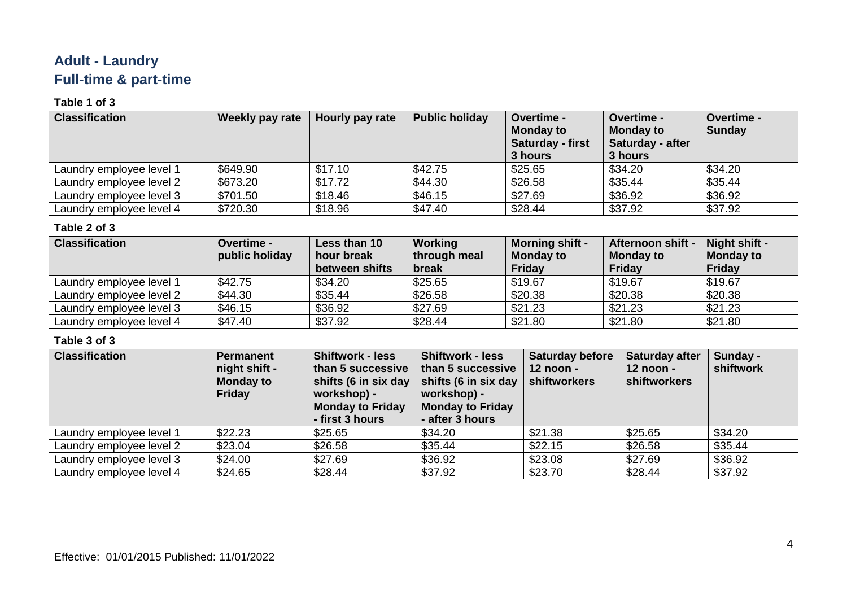# **Adult - Laundry Full-time & part-time**

### **Table 1 of 3**

| <b>Classification</b>    | Weekly pay rate | Hourly pay rate | <b>Public holiday</b> | <b>Overtime -</b><br><b>Monday to</b><br>Saturday - first<br>3 hours | <b>Overtime -</b><br><b>Monday to</b><br>Saturday - after<br>3 hours | <b>Overtime -</b><br><b>Sunday</b> |
|--------------------------|-----------------|-----------------|-----------------------|----------------------------------------------------------------------|----------------------------------------------------------------------|------------------------------------|
| Laundry employee level 1 | \$649.90        | \$17.10         | \$42.75               | \$25.65                                                              | \$34.20                                                              | \$34.20                            |
| Laundry employee level 2 | \$673.20        | \$17.72         | \$44.30               | \$26.58                                                              | \$35.44                                                              | \$35.44                            |
| Laundry employee level 3 | \$701.50        | \$18.46         | \$46.15               | \$27.69                                                              | \$36.92                                                              | \$36.92                            |
| Laundry employee level 4 | \$720.30        | \$18.96         | \$47.40               | \$28.44                                                              | \$37.92                                                              | \$37.92                            |

### **Table 2 of 3**

| <b>Classification</b>    | <b>Overtime -</b><br>public holiday | Less than 10<br>hour break<br>between shifts | Working<br>through meal<br>break | <b>Morning shift -</b><br><b>Monday to</b><br>Friday | <b>Afternoon shift -</b><br><b>Monday to</b><br>Friday | Night shift -<br><b>Monday to</b><br>Friday |
|--------------------------|-------------------------------------|----------------------------------------------|----------------------------------|------------------------------------------------------|--------------------------------------------------------|---------------------------------------------|
| Laundry employee level 1 | \$42.75                             | \$34.20                                      | \$25.65                          | \$19.67                                              | \$19.67                                                | \$19.67                                     |
| Laundry employee level 2 | \$44.30                             | \$35.44                                      | \$26.58                          | \$20.38                                              | \$20.38                                                | \$20.38                                     |
| Laundry employee level 3 | \$46.15                             | \$36.92                                      | \$27.69                          | \$21.23                                              | \$21.23                                                | \$21.23                                     |
| Laundry employee level 4 | \$47.40                             | \$37.92                                      | \$28.44                          | \$21.80                                              | \$21.80                                                | \$21.80                                     |

| <b>Classification</b>    | <b>Permanent</b><br>night shift -<br><b>Monday to</b><br><b>Friday</b> | <b>Shiftwork - less</b><br>than 5 successive<br>shifts (6 in six day<br>workshop) -<br><b>Monday to Friday</b><br>- first 3 hours | <b>Shiftwork - less</b><br>than 5 successive<br>shifts (6 in six day<br>workshop) -<br><b>Monday to Friday</b><br>- after 3 hours | <b>Saturday before</b><br>$12$ noon -<br>shiftworkers | Saturday after<br>12 noon -<br>shiftworkers | Sunday -<br>shiftwork |
|--------------------------|------------------------------------------------------------------------|-----------------------------------------------------------------------------------------------------------------------------------|-----------------------------------------------------------------------------------------------------------------------------------|-------------------------------------------------------|---------------------------------------------|-----------------------|
| Laundry employee level 1 | \$22.23                                                                | \$25.65                                                                                                                           | \$34.20                                                                                                                           | \$21.38                                               | \$25.65                                     | \$34.20               |
| Laundry employee level 2 | \$23.04                                                                | \$26.58                                                                                                                           | \$35.44                                                                                                                           | \$22.15                                               | \$26.58                                     | \$35.44               |
| Laundry employee level 3 | \$24.00                                                                | \$27.69                                                                                                                           | \$36.92                                                                                                                           | \$23.08                                               | \$27.69                                     | \$36.92               |
| Laundry employee level 4 | \$24.65                                                                | \$28.44                                                                                                                           | \$37.92                                                                                                                           | \$23.70                                               | \$28.44                                     | \$37.92               |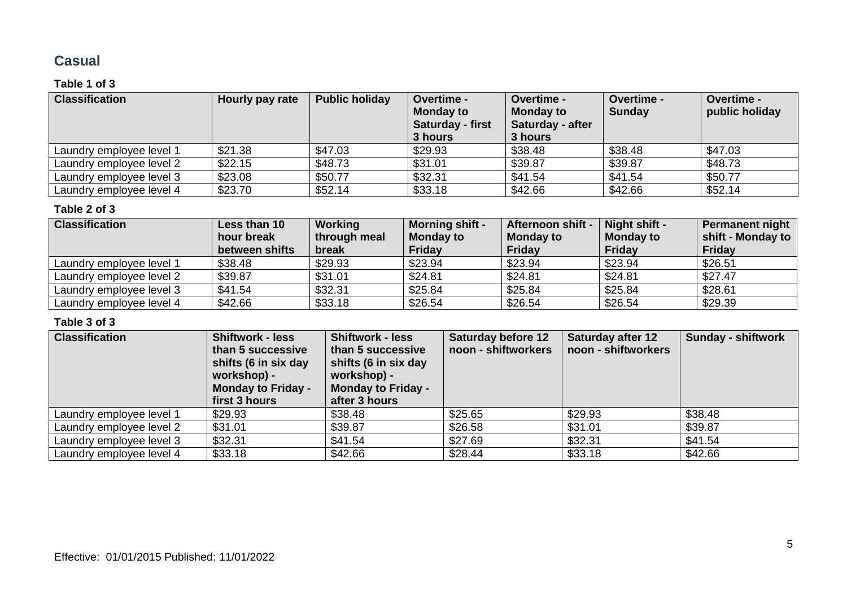### **Casual**

### **Table 1 of 3**

| <b>Classification</b>    | Hourly pay rate | <b>Public holiday</b> | <b>Overtime -</b><br><b>Monday to</b><br>Saturday - first<br>3 hours | <b>Overtime -</b><br><b>Monday to</b><br>Saturday - after<br>3 hours | Overtime -<br><b>Sunday</b> | Overtime -<br>public holiday |
|--------------------------|-----------------|-----------------------|----------------------------------------------------------------------|----------------------------------------------------------------------|-----------------------------|------------------------------|
| Laundry employee level 1 | \$21.38         | \$47.03               | \$29.93                                                              | \$38.48                                                              | \$38.48                     | \$47.03                      |
| Laundry employee level 2 | \$22.15         | \$48.73               | \$31.01                                                              | \$39.87                                                              | \$39.87                     | \$48.73                      |
| Laundry employee level 3 | \$23.08         | \$50.77               | \$32.31                                                              | \$41.54                                                              | \$41.54                     | \$50.77                      |
| Laundry employee level 4 | \$23.70         | \$52.14               | \$33.18                                                              | \$42.66                                                              | \$42.66                     | \$52.14                      |

#### **Table 2 of 3**

| <b>Classification</b>    | Less than 10   | Working      | <b>Morning shift -</b> | Afternoon shift - | Night shift -    | <b>Permanent night</b> |
|--------------------------|----------------|--------------|------------------------|-------------------|------------------|------------------------|
|                          | hour break     | through meal | <b>Monday to</b>       | <b>Monday to</b>  | <b>Monday to</b> | shift - Monday to      |
|                          | between shifts | break        | <b>Friday</b>          | <b>Friday</b>     | Friday           | Friday                 |
| Laundry employee level 1 | \$38.48        | \$29.93      | \$23.94                | \$23.94           | \$23.94          | \$26.51                |
| Laundry employee level 2 | \$39.87        | \$31.01      | \$24.81                | \$24.81           | \$24.81          | \$27.47                |
| Laundry employee level 3 | \$41.54        | \$32.31      | \$25.84                | \$25.84           | \$25.84          | \$28.61                |
| Laundry employee level 4 | \$42.66        | \$33.18      | \$26.54                | \$26.54           | \$26.54          | \$29.39                |

| <b>Classification</b>    | <b>Shiftwork - less</b><br>than 5 successive<br>shifts (6 in six day<br>workshop) -<br><b>Monday to Friday -</b><br>first 3 hours | <b>Shiftwork - less</b><br>than 5 successive<br>shifts (6 in six day<br>workshop) -<br><b>Monday to Friday -</b><br>after 3 hours | <b>Saturday before 12</b><br>noon - shiftworkers | <b>Saturday after 12</b><br>noon - shiftworkers | <b>Sunday - shiftwork</b> |
|--------------------------|-----------------------------------------------------------------------------------------------------------------------------------|-----------------------------------------------------------------------------------------------------------------------------------|--------------------------------------------------|-------------------------------------------------|---------------------------|
| Laundry employee level 1 | \$29.93                                                                                                                           | \$38.48                                                                                                                           | \$25.65                                          | \$29.93                                         | \$38.48                   |
| Laundry employee level 2 | \$31.01                                                                                                                           | \$39.87                                                                                                                           | \$26.58                                          | \$31.01                                         | \$39.87                   |
| Laundry employee level 3 | \$32.31                                                                                                                           | \$41.54                                                                                                                           | \$27.69                                          | \$32.31                                         | \$41.54                   |
| Laundry employee level 4 | \$33.18                                                                                                                           | \$42.66                                                                                                                           | \$28.44                                          | \$33.18                                         | \$42.66                   |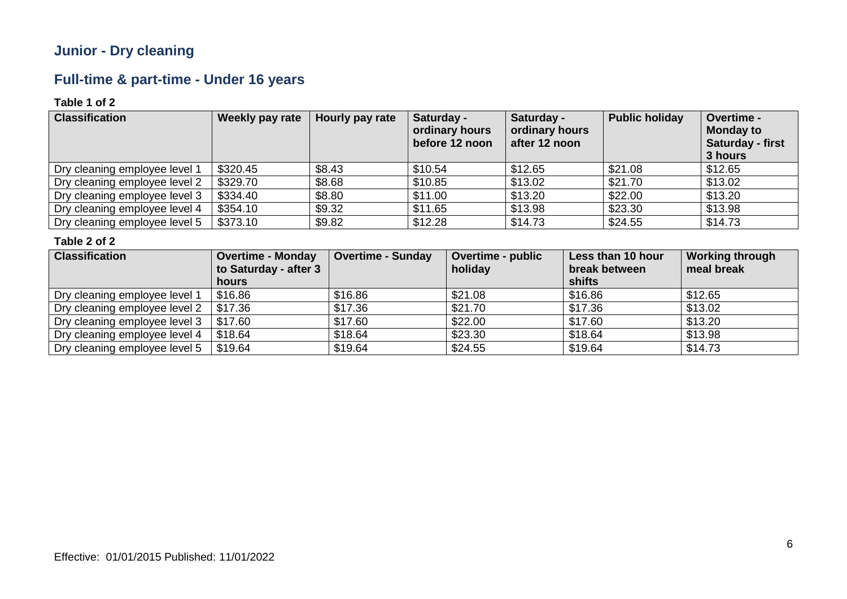# **Junior - Dry cleaning**

# **Full-time & part-time - Under 16 years**

### **Table 1 of 2**

| <b>Classification</b>         | Weekly pay rate | Hourly pay rate | Saturday -<br>ordinary hours<br>before 12 noon | Saturday -<br>ordinary hours<br>after 12 noon | <b>Public holiday</b> | Overtime -<br><b>Monday to</b><br><b>Saturday - first</b><br>3 hours |
|-------------------------------|-----------------|-----------------|------------------------------------------------|-----------------------------------------------|-----------------------|----------------------------------------------------------------------|
| Dry cleaning employee level 1 | \$320.45        | \$8.43          | \$10.54                                        | \$12.65                                       | \$21.08               | \$12.65                                                              |
| Dry cleaning employee level 2 | \$329.70        | \$8.68          | \$10.85                                        | \$13.02                                       | \$21.70               | \$13.02                                                              |
| Dry cleaning employee level 3 | \$334.40        | \$8.80          | \$11.00                                        | \$13.20                                       | \$22.00               | \$13.20                                                              |
| Dry cleaning employee level 4 | \$354.10        | \$9.32          | \$11.65                                        | \$13.98                                       | \$23.30               | \$13.98                                                              |
| Dry cleaning employee level 5 | \$373.10        | \$9.82          | \$12.28                                        | \$14.73                                       | \$24.55               | \$14.73                                                              |

| <b>Classification</b>         | <b>Overtime - Monday</b><br>to Saturday - after 3 | <b>Overtime - Sunday</b> | <b>Overtime - public</b><br>holiday | Less than 10 hour<br>break between | <b>Working through</b><br>meal break |
|-------------------------------|---------------------------------------------------|--------------------------|-------------------------------------|------------------------------------|--------------------------------------|
|                               | hours                                             |                          |                                     | shifts                             |                                      |
| Dry cleaning employee level 1 | \$16.86                                           | \$16.86                  | \$21.08                             | \$16.86                            | \$12.65                              |
| Dry cleaning employee level 2 | \$17.36                                           | \$17.36                  | \$21.70                             | \$17.36                            | \$13.02                              |
| Dry cleaning employee level 3 | \$17.60                                           | \$17.60                  | \$22.00                             | \$17.60                            | \$13.20                              |
| Dry cleaning employee level 4 | \$18.64                                           | \$18.64                  | \$23.30                             | \$18.64                            | \$13.98                              |
| Dry cleaning employee level 5 | \$19.64                                           | \$19.64                  | \$24.55                             | \$19.64                            | \$14.73                              |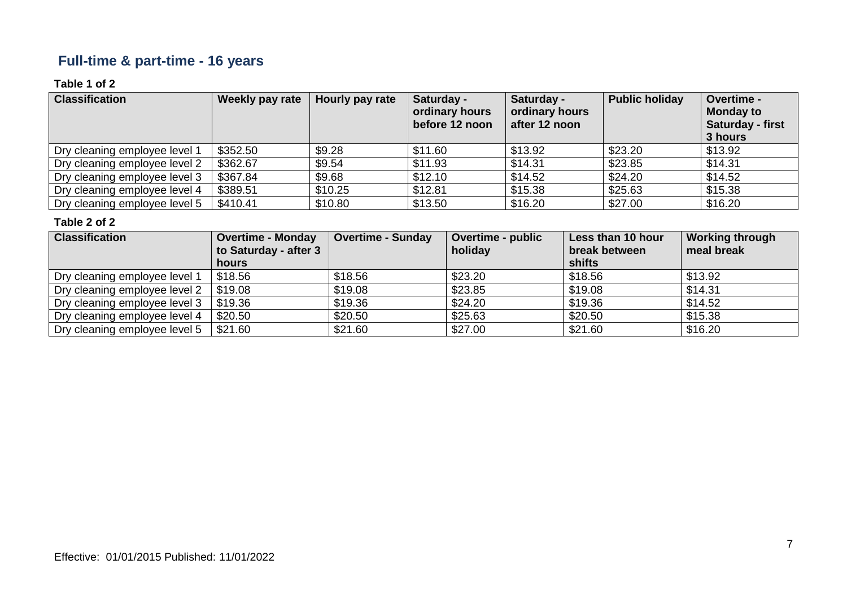# **Full-time & part-time - 16 years**

### **Table 1 of 2**

| <b>Classification</b>         | Weekly pay rate | Hourly pay rate | Saturday -<br>ordinary hours<br>before 12 noon | Saturday -<br>ordinary hours<br>after 12 noon | <b>Public holiday</b> | Overtime -<br><b>Monday to</b><br><b>Saturday - first</b><br>3 hours |
|-------------------------------|-----------------|-----------------|------------------------------------------------|-----------------------------------------------|-----------------------|----------------------------------------------------------------------|
| Dry cleaning employee level 1 | \$352.50        | \$9.28          | \$11.60                                        | \$13.92                                       | \$23.20               | \$13.92                                                              |
| Dry cleaning employee level 2 | \$362.67        | \$9.54          | \$11.93                                        | \$14.31                                       | \$23.85               | \$14.31                                                              |
| Dry cleaning employee level 3 | \$367.84        | \$9.68          | \$12.10                                        | \$14.52                                       | \$24.20               | \$14.52                                                              |
| Dry cleaning employee level 4 | \$389.51        | \$10.25         | \$12.81                                        | \$15.38                                       | \$25.63               | \$15.38                                                              |
| Dry cleaning employee level 5 | \$410.41        | \$10.80         | \$13.50                                        | \$16.20                                       | \$27.00               | \$16.20                                                              |

| <b>Classification</b>         | <b>Overtime - Monday</b><br>to Saturday - after 3 | <b>Overtime - Sunday</b> | <b>Overtime - public</b><br>holiday | Less than 10 hour<br>break between | <b>Working through</b><br>meal break |
|-------------------------------|---------------------------------------------------|--------------------------|-------------------------------------|------------------------------------|--------------------------------------|
|                               | hours                                             |                          |                                     | shifts                             |                                      |
| Dry cleaning employee level 1 | \$18.56                                           | \$18.56                  | \$23.20                             | \$18.56                            | \$13.92                              |
| Dry cleaning employee level 2 | \$19.08                                           | \$19.08                  | \$23.85                             | \$19.08                            | \$14.31                              |
| Dry cleaning employee level 3 | \$19.36                                           | \$19.36                  | \$24.20                             | \$19.36                            | \$14.52                              |
| Dry cleaning employee level 4 | \$20.50                                           | \$20.50                  | \$25.63                             | \$20.50                            | \$15.38                              |
| Dry cleaning employee level 5 | \$21.60                                           | \$21.60                  | \$27.00                             | \$21.60                            | \$16.20                              |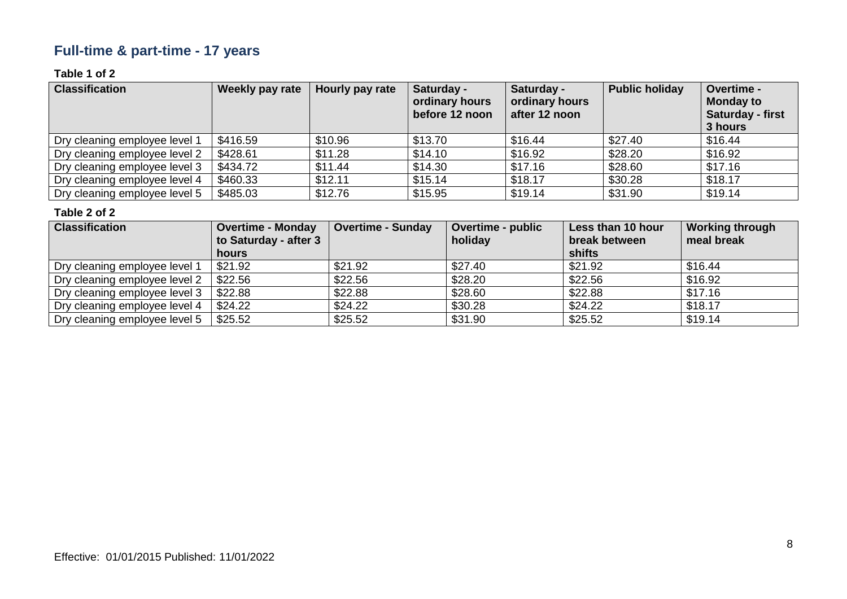# **Full-time & part-time - 17 years**

### **Table 1 of 2**

| <b>Classification</b>         | Weekly pay rate | Hourly pay rate | Saturday -<br>ordinary hours<br>before 12 noon | Saturday -<br>ordinary hours<br>after 12 noon | <b>Public holiday</b> | Overtime -<br><b>Monday to</b><br>Saturday - first<br>3 hours |
|-------------------------------|-----------------|-----------------|------------------------------------------------|-----------------------------------------------|-----------------------|---------------------------------------------------------------|
| Dry cleaning employee level 1 | \$416.59        | \$10.96         | \$13.70                                        | \$16.44                                       | \$27.40               | \$16.44                                                       |
| Dry cleaning employee level 2 | \$428.61        | \$11.28         | \$14.10                                        | \$16.92                                       | \$28.20               | \$16.92                                                       |
| Dry cleaning employee level 3 | \$434.72        | \$11.44         | \$14.30                                        | \$17.16                                       | \$28.60               | \$17.16                                                       |
| Dry cleaning employee level 4 | \$460.33        | \$12.11         | \$15.14                                        | \$18.17                                       | \$30.28               | \$18.17                                                       |
| Dry cleaning employee level 5 | \$485.03        | \$12.76         | \$15.95                                        | \$19.14                                       | \$31.90               | \$19.14                                                       |

| <b>Classification</b>         | <b>Overtime - Monday</b><br>to Saturday - after 3<br>hours | <b>Overtime - Sunday</b> | <b>Overtime - public</b><br>holiday | Less than 10 hour<br>break between<br>shifts | <b>Working through</b><br>meal break |
|-------------------------------|------------------------------------------------------------|--------------------------|-------------------------------------|----------------------------------------------|--------------------------------------|
| Dry cleaning employee level 1 | \$21.92                                                    | \$21.92                  | \$27.40                             | \$21.92                                      | \$16.44                              |
| Dry cleaning employee level 2 | \$22.56                                                    | \$22.56                  | \$28.20                             | \$22.56                                      | \$16.92                              |
| Dry cleaning employee level 3 | \$22.88                                                    | \$22.88                  | \$28.60                             | \$22.88                                      | \$17.16                              |
| Dry cleaning employee level 4 | \$24.22                                                    | \$24.22                  | \$30.28                             | \$24.22                                      | \$18.17                              |
| Dry cleaning employee level 5 | \$25.52                                                    | \$25.52                  | \$31.90                             | \$25.52                                      | \$19.14                              |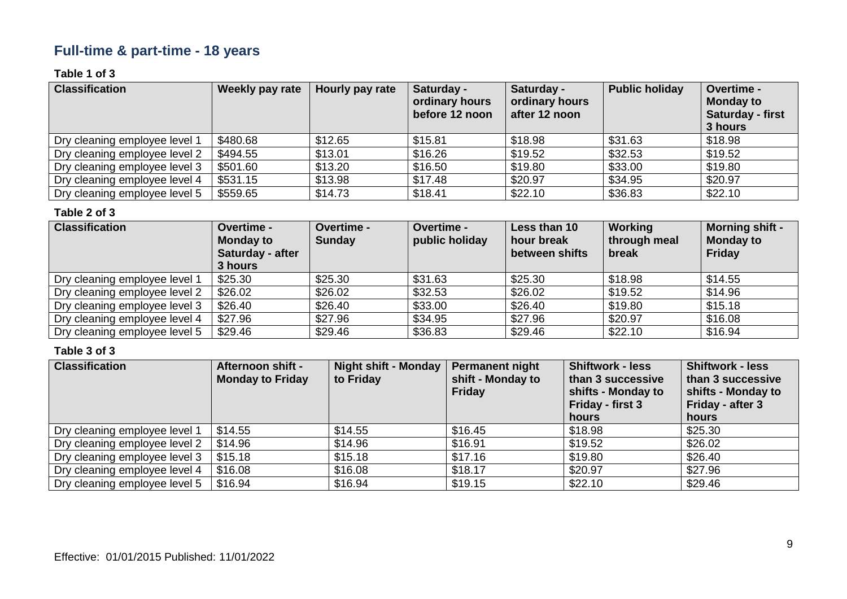# **Full-time & part-time - 18 years**

### **Table 1 of 3**

| <b>Classification</b>         | Weekly pay rate | Hourly pay rate | Saturday -<br>ordinary hours<br>before 12 noon | Saturday -<br>ordinary hours<br>after 12 noon | <b>Public holiday</b> | Overtime -<br><b>Monday to</b><br>Saturday - first<br>3 hours |
|-------------------------------|-----------------|-----------------|------------------------------------------------|-----------------------------------------------|-----------------------|---------------------------------------------------------------|
| Dry cleaning employee level 1 | \$480.68        | \$12.65         | \$15.81                                        | \$18.98                                       | \$31.63               | \$18.98                                                       |
| Dry cleaning employee level 2 | \$494.55        | \$13.01         | \$16.26                                        | \$19.52                                       | \$32.53               | \$19.52                                                       |
| Dry cleaning employee level 3 | \$501.60        | \$13.20         | \$16.50                                        | \$19.80                                       | \$33.00               | \$19.80                                                       |
| Dry cleaning employee level 4 | \$531.15        | \$13.98         | \$17.48                                        | \$20.97                                       | \$34.95               | \$20.97                                                       |
| Dry cleaning employee level 5 | \$559.65        | \$14.73         | \$18.41                                        | \$22.10                                       | \$36.83               | \$22.10                                                       |

#### **Table 2 of 3**

| <b>Classification</b>         | <b>Overtime -</b><br><b>Monday to</b><br>Saturday - after<br>3 hours | Overtime -<br><b>Sunday</b> | <b>Overtime -</b><br>public holiday | Less than 10<br>hour break<br>between shifts | Working<br>through meal<br>break | <b>Morning shift -</b><br><b>Monday to</b><br>Friday |
|-------------------------------|----------------------------------------------------------------------|-----------------------------|-------------------------------------|----------------------------------------------|----------------------------------|------------------------------------------------------|
| Dry cleaning employee level 1 | \$25.30                                                              | \$25.30                     | \$31.63                             | \$25.30                                      | \$18.98                          | \$14.55                                              |
| Dry cleaning employee level 2 | \$26.02                                                              | \$26.02                     | \$32.53                             | \$26.02                                      | \$19.52                          | \$14.96                                              |
| Dry cleaning employee level 3 | \$26.40                                                              | \$26.40                     | \$33.00                             | \$26.40                                      | \$19.80                          | \$15.18                                              |
| Dry cleaning employee level 4 | \$27.96                                                              | \$27.96                     | \$34.95                             | \$27.96                                      | \$20.97                          | \$16.08                                              |
| Dry cleaning employee level 5 | \$29.46                                                              | \$29.46                     | \$36.83                             | \$29.46                                      | \$22.10                          | \$16.94                                              |

| <b>Classification</b>         | <b>Afternoon shift -</b><br><b>Monday to Friday</b> | Night shift - Monday<br>to Friday | <b>Permanent night</b><br>shift - Monday to<br><b>Friday</b> | <b>Shiftwork - less</b><br>than 3 successive<br>shifts - Monday to<br>Friday - first 3<br>hours | <b>Shiftwork - less</b><br>than 3 successive<br>shifts - Monday to<br>Friday - after 3<br>hours |
|-------------------------------|-----------------------------------------------------|-----------------------------------|--------------------------------------------------------------|-------------------------------------------------------------------------------------------------|-------------------------------------------------------------------------------------------------|
| Dry cleaning employee level 1 | \$14.55                                             | \$14.55                           | \$16.45                                                      | \$18.98                                                                                         | \$25.30                                                                                         |
| Dry cleaning employee level 2 | \$14.96                                             | \$14.96                           | \$16.91                                                      | \$19.52                                                                                         | \$26.02                                                                                         |
| Dry cleaning employee level 3 | \$15.18                                             | \$15.18                           | \$17.16                                                      | \$19.80                                                                                         | \$26.40                                                                                         |
| Dry cleaning employee level 4 | \$16.08                                             | \$16.08                           | \$18.17                                                      | \$20.97                                                                                         | \$27.96                                                                                         |
| Dry cleaning employee level 5 | \$16.94                                             | \$16.94                           | \$19.15                                                      | \$22.10                                                                                         | \$29.46                                                                                         |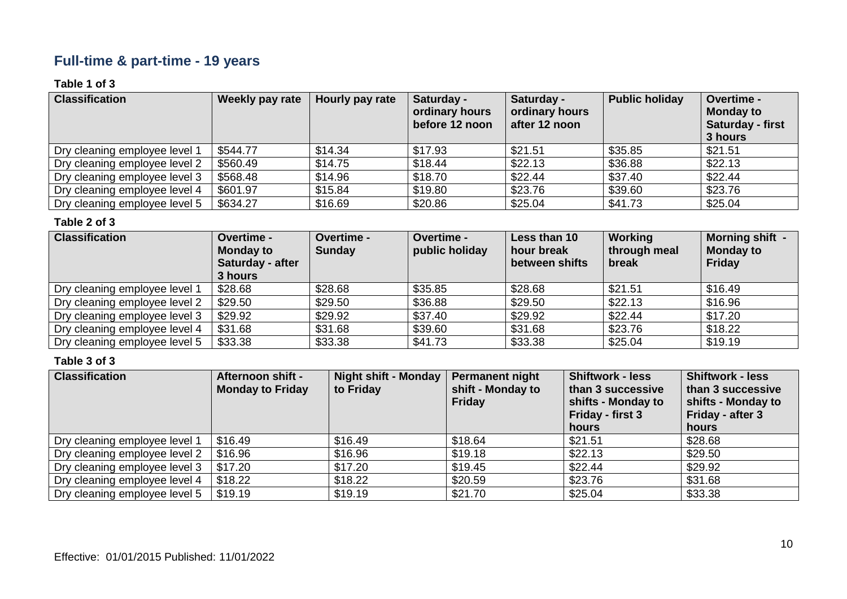# **Full-time & part-time - 19 years**

### **Table 1 of 3**

| <b>Classification</b>         | Weekly pay rate | Hourly pay rate | Saturday -<br>ordinary hours<br>before 12 noon | Saturday -<br>ordinary hours<br>after 12 noon | <b>Public holiday</b> | Overtime -<br><b>Monday to</b><br><b>Saturday - first</b><br>3 hours |
|-------------------------------|-----------------|-----------------|------------------------------------------------|-----------------------------------------------|-----------------------|----------------------------------------------------------------------|
| Dry cleaning employee level 1 | \$544.77        | \$14.34         | \$17.93                                        | \$21.51                                       | \$35.85               | \$21.51                                                              |
| Dry cleaning employee level 2 | \$560.49        | \$14.75         | \$18.44                                        | \$22.13                                       | \$36.88               | \$22.13                                                              |
| Dry cleaning employee level 3 | \$568.48        | \$14.96         | \$18.70                                        | \$22.44                                       | \$37.40               | \$22.44                                                              |
| Dry cleaning employee level 4 | \$601.97        | \$15.84         | \$19.80                                        | \$23.76                                       | \$39.60               | \$23.76                                                              |
| Dry cleaning employee level 5 | \$634.27        | \$16.69         | \$20.86                                        | \$25.04                                       | \$41.73               | \$25.04                                                              |

### **Table 2 of 3**

| <b>Classification</b>         | Overtime -<br><b>Monday to</b><br>Saturday - after<br>3 hours | Overtime -<br><b>Sunday</b> | <b>Overtime -</b><br>public holiday | Less than 10<br>hour break<br>between shifts | Working<br>through meal<br>break | Morning shift -<br><b>Monday to</b><br>Friday |
|-------------------------------|---------------------------------------------------------------|-----------------------------|-------------------------------------|----------------------------------------------|----------------------------------|-----------------------------------------------|
| Dry cleaning employee level 1 | \$28.68                                                       | \$28.68                     | \$35.85                             | \$28.68                                      | \$21.51                          | \$16.49                                       |
| Dry cleaning employee level 2 | \$29.50                                                       | \$29.50                     | \$36.88                             | \$29.50                                      | \$22.13                          | \$16.96                                       |
| Dry cleaning employee level 3 | \$29.92                                                       | \$29.92                     | \$37.40                             | \$29.92                                      | \$22.44                          | \$17.20                                       |
| Dry cleaning employee level 4 | \$31.68                                                       | \$31.68                     | \$39.60                             | \$31.68                                      | \$23.76                          | \$18.22                                       |
| Dry cleaning employee level 5 | \$33.38                                                       | \$33.38                     | \$41.73                             | \$33.38                                      | \$25.04                          | \$19.19                                       |

| <b>Classification</b>         | <b>Afternoon shift -</b><br><b>Monday to Friday</b> | <b>Night shift - Monday</b><br>to Friday | <b>Permanent night</b><br>shift - Monday to<br><b>Friday</b> | <b>Shiftwork - less</b><br>than 3 successive<br>shifts - Monday to<br>Friday - first 3<br>hours | <b>Shiftwork - less</b><br>than 3 successive<br>shifts - Monday to<br>Friday - after 3<br>hours |
|-------------------------------|-----------------------------------------------------|------------------------------------------|--------------------------------------------------------------|-------------------------------------------------------------------------------------------------|-------------------------------------------------------------------------------------------------|
| Dry cleaning employee level 1 | \$16.49                                             | \$16.49                                  | \$18.64                                                      | \$21.51                                                                                         | \$28.68                                                                                         |
| Dry cleaning employee level 2 | \$16.96                                             | \$16.96                                  | \$19.18                                                      | \$22.13                                                                                         | \$29.50                                                                                         |
| Dry cleaning employee level 3 | \$17.20                                             | \$17.20                                  | \$19.45                                                      | \$22.44                                                                                         | \$29.92                                                                                         |
| Dry cleaning employee level 4 | \$18.22                                             | \$18.22                                  | \$20.59                                                      | \$23.76                                                                                         | \$31.68                                                                                         |
| Dry cleaning employee level 5 | \$19.19                                             | \$19.19                                  | \$21.70                                                      | \$25.04                                                                                         | \$33.38                                                                                         |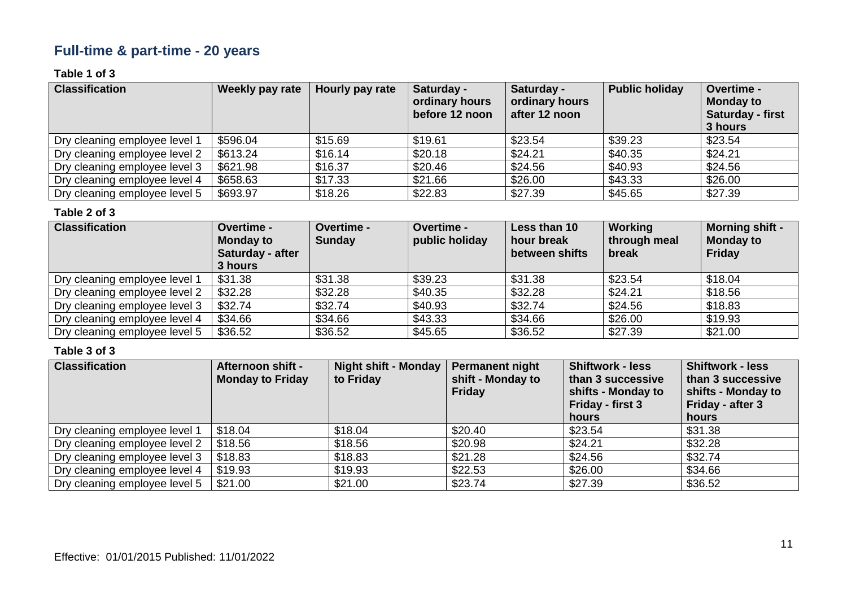# **Full-time & part-time - 20 years**

### **Table 1 of 3**

| <b>Classification</b>         | Weekly pay rate | Hourly pay rate | Saturday -<br>ordinary hours<br>before 12 noon | Saturday -<br>ordinary hours<br>after 12 noon | <b>Public holiday</b> | Overtime -<br><b>Monday to</b><br><b>Saturday - first</b><br>3 hours |
|-------------------------------|-----------------|-----------------|------------------------------------------------|-----------------------------------------------|-----------------------|----------------------------------------------------------------------|
| Dry cleaning employee level 1 | \$596.04        | \$15.69         | \$19.61                                        | \$23.54                                       | \$39.23               | \$23.54                                                              |
| Dry cleaning employee level 2 | \$613.24        | \$16.14         | \$20.18                                        | \$24.21                                       | \$40.35               | \$24.21                                                              |
| Dry cleaning employee level 3 | \$621.98        | \$16.37         | \$20.46                                        | \$24.56                                       | \$40.93               | \$24.56                                                              |
| Dry cleaning employee level 4 | \$658.63        | \$17.33         | \$21.66                                        | \$26.00                                       | \$43.33               | \$26.00                                                              |
| Dry cleaning employee level 5 | \$693.97        | \$18.26         | \$22.83                                        | \$27.39                                       | \$45.65               | \$27.39                                                              |

#### **Table 2 of 3**

| <b>Classification</b>         | <b>Overtime -</b><br><b>Monday to</b><br>Saturday - after<br>3 hours | Overtime -<br><b>Sunday</b> | <b>Overtime -</b><br>public holiday | Less than 10<br>hour break<br>between shifts | Working<br>through meal<br>break | <b>Morning shift -</b><br><b>Monday to</b><br><b>Friday</b> |
|-------------------------------|----------------------------------------------------------------------|-----------------------------|-------------------------------------|----------------------------------------------|----------------------------------|-------------------------------------------------------------|
| Dry cleaning employee level 1 | \$31.38                                                              | \$31.38                     | \$39.23                             | \$31.38                                      | \$23.54                          | \$18.04                                                     |
| Dry cleaning employee level 2 | \$32.28                                                              | \$32.28                     | \$40.35                             | \$32.28                                      | \$24.21                          | \$18.56                                                     |
| Dry cleaning employee level 3 | \$32.74                                                              | \$32.74                     | \$40.93                             | \$32.74                                      | \$24.56                          | \$18.83                                                     |
| Dry cleaning employee level 4 | \$34.66                                                              | \$34.66                     | \$43.33                             | \$34.66                                      | \$26.00                          | \$19.93                                                     |
| Dry cleaning employee level 5 | \$36.52                                                              | \$36.52                     | \$45.65                             | \$36.52                                      | \$27.39                          | \$21.00                                                     |

| <b>Classification</b>         | <b>Afternoon shift -</b><br><b>Monday to Friday</b> | <b>Night shift - Monday</b><br>to Friday | Permanent night<br>shift - Monday to<br>Friday | <b>Shiftwork - less</b><br>than 3 successive<br>shifts - Monday to<br>Friday - first 3<br>hours | <b>Shiftwork - less</b><br>than 3 successive<br>shifts - Monday to<br>Friday - after 3<br>hours |
|-------------------------------|-----------------------------------------------------|------------------------------------------|------------------------------------------------|-------------------------------------------------------------------------------------------------|-------------------------------------------------------------------------------------------------|
| Dry cleaning employee level 1 | \$18.04                                             | \$18.04                                  | \$20.40                                        | \$23.54                                                                                         | \$31.38                                                                                         |
| Dry cleaning employee level 2 | \$18.56                                             | \$18.56                                  | \$20.98                                        | \$24.21                                                                                         | \$32.28                                                                                         |
| Dry cleaning employee level 3 | \$18.83                                             | \$18.83                                  | \$21.28                                        | \$24.56                                                                                         | \$32.74                                                                                         |
| Dry cleaning employee level 4 | \$19.93                                             | \$19.93                                  | \$22.53                                        | \$26.00                                                                                         | \$34.66                                                                                         |
| Dry cleaning employee level 5 | \$21.00                                             | \$21.00                                  | \$23.74                                        | \$27.39                                                                                         | \$36.52                                                                                         |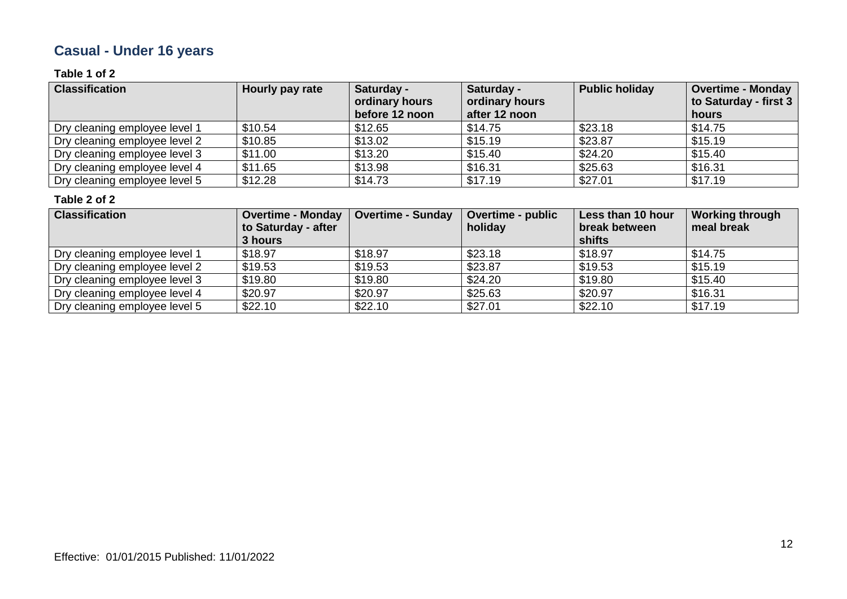# **Casual - Under 16 years**

### **Table 1 of 2**

| <b>Classification</b>         | Hourly pay rate | Saturday -<br>ordinary hours<br>before 12 noon | Saturday -<br>ordinary hours<br>after 12 noon | <b>Public holiday</b> | <b>Overtime - Monday</b><br>to Saturday - first 3<br>hours |
|-------------------------------|-----------------|------------------------------------------------|-----------------------------------------------|-----------------------|------------------------------------------------------------|
| Dry cleaning employee level 1 | \$10.54         | \$12.65                                        | \$14.75                                       | \$23.18               | \$14.75                                                    |
| Dry cleaning employee level 2 | \$10.85         | \$13.02                                        | \$15.19                                       | \$23.87               | \$15.19                                                    |
| Dry cleaning employee level 3 | \$11.00         | \$13.20                                        | \$15.40                                       | \$24.20               | \$15.40                                                    |
| Dry cleaning employee level 4 | \$11.65         | \$13.98                                        | \$16.31                                       | \$25.63               | \$16.31                                                    |
| Dry cleaning employee level 5 | \$12.28         | \$14.73                                        | \$17.19                                       | \$27.01               | \$17.19                                                    |

| <b>Classification</b>         | <b>Overtime - Monday</b> | <b>Overtime - Sunday</b> | <b>Overtime - public</b> | Less than 10 hour | <b>Working through</b> |
|-------------------------------|--------------------------|--------------------------|--------------------------|-------------------|------------------------|
|                               | to Saturday - after      |                          | holiday                  | break between     | meal break             |
|                               | 3 hours                  |                          |                          | shifts            |                        |
| Dry cleaning employee level 1 | \$18.97                  | \$18.97                  | \$23.18                  | \$18.97           | \$14.75                |
| Dry cleaning employee level 2 | \$19.53                  | \$19.53                  | \$23.87                  | \$19.53           | \$15.19                |
| Dry cleaning employee level 3 | \$19.80                  | \$19.80                  | \$24.20                  | \$19.80           | \$15.40                |
| Dry cleaning employee level 4 | \$20.97                  | \$20.97                  | \$25.63                  | \$20.97           | \$16.31                |
| Dry cleaning employee level 5 | \$22.10                  | \$22.10                  | \$27.01                  | \$22.10           | \$17.19                |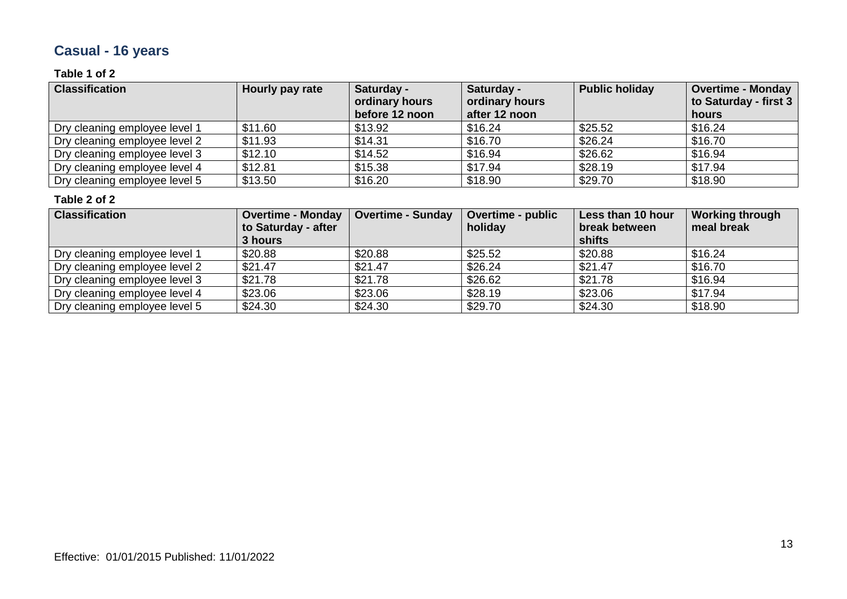# **Casual - 16 years**

### **Table 1 of 2**

| <b>Classification</b>         | Hourly pay rate | Saturday -<br>ordinary hours<br>before 12 noon | Saturday -<br>ordinary hours<br>after 12 noon | <b>Public holiday</b> | <b>Overtime - Monday</b><br>to Saturday - first 3<br>hours |
|-------------------------------|-----------------|------------------------------------------------|-----------------------------------------------|-----------------------|------------------------------------------------------------|
| Dry cleaning employee level 1 | \$11.60         | \$13.92                                        | \$16.24                                       | \$25.52               | \$16.24                                                    |
| Dry cleaning employee level 2 | \$11.93         | \$14.31                                        | \$16.70                                       | \$26.24               | \$16.70                                                    |
| Dry cleaning employee level 3 | \$12.10         | \$14.52                                        | \$16.94                                       | \$26.62               | \$16.94                                                    |
| Dry cleaning employee level 4 | \$12.81         | \$15.38                                        | \$17.94                                       | \$28.19               | \$17.94                                                    |
| Dry cleaning employee level 5 | \$13.50         | \$16.20                                        | \$18.90                                       | \$29.70               | \$18.90                                                    |

| <b>Classification</b>         | <b>Overtime - Monday</b> | <b>Overtime - Sunday</b> | <b>Overtime - public</b> | Less than 10 hour | <b>Working through</b> |
|-------------------------------|--------------------------|--------------------------|--------------------------|-------------------|------------------------|
|                               | to Saturday - after      |                          | holiday                  | break between     | meal break             |
|                               | 3 hours                  |                          |                          | shifts            |                        |
| Dry cleaning employee level 1 | \$20.88                  | \$20.88                  | \$25.52                  | \$20.88           | \$16.24                |
| Dry cleaning employee level 2 | \$21.47                  | \$21.47                  | \$26.24                  | \$21.47           | \$16.70                |
| Dry cleaning employee level 3 | \$21.78                  | \$21.78                  | \$26.62                  | \$21.78           | \$16.94                |
| Dry cleaning employee level 4 | \$23.06                  | \$23.06                  | \$28.19                  | \$23.06           | \$17.94                |
| Dry cleaning employee level 5 | \$24.30                  | \$24.30                  | \$29.70                  | \$24.30           | \$18.90                |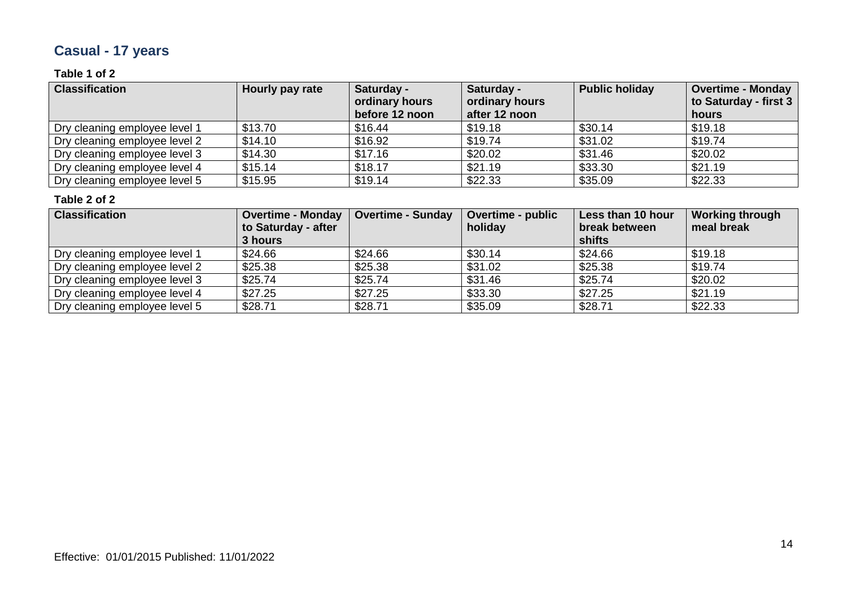# **Casual - 17 years**

### **Table 1 of 2**

| <b>Classification</b>         | Hourly pay rate | Saturday -<br>ordinary hours<br>before 12 noon | Saturday -<br>ordinary hours<br>after 12 noon | <b>Public holiday</b> | <b>Overtime - Monday</b><br>to Saturday - first 3<br>hours |
|-------------------------------|-----------------|------------------------------------------------|-----------------------------------------------|-----------------------|------------------------------------------------------------|
| Dry cleaning employee level 1 | \$13.70         | \$16.44                                        | \$19.18                                       | \$30.14               | \$19.18                                                    |
| Dry cleaning employee level 2 | \$14.10         | \$16.92                                        | \$19.74                                       | \$31.02               | \$19.74                                                    |
| Dry cleaning employee level 3 | \$14.30         | \$17.16                                        | \$20.02                                       | \$31.46               | \$20.02                                                    |
| Dry cleaning employee level 4 | \$15.14         | \$18.17                                        | \$21.19                                       | \$33.30               | \$21.19                                                    |
| Dry cleaning employee level 5 | \$15.95         | \$19.14                                        | \$22.33                                       | \$35.09               | \$22.33                                                    |

| <b>Classification</b>         | <b>Overtime - Monday</b> | <b>Overtime - Sunday</b> | <b>Overtime - public</b> | Less than 10 hour | <b>Working through</b> |
|-------------------------------|--------------------------|--------------------------|--------------------------|-------------------|------------------------|
|                               | to Saturday - after      |                          | holiday                  | break between     | meal break             |
|                               | 3 hours                  |                          |                          | shifts            |                        |
| Dry cleaning employee level 1 | \$24.66                  | \$24.66                  | \$30.14                  | \$24.66           | \$19.18                |
| Dry cleaning employee level 2 | \$25.38                  | \$25.38                  | \$31.02                  | \$25.38           | \$19.74                |
| Dry cleaning employee level 3 | \$25.74                  | \$25.74                  | \$31.46                  | \$25.74           | \$20.02                |
| Dry cleaning employee level 4 | \$27.25                  | \$27.25                  | \$33.30                  | \$27.25           | \$21.19                |
| Dry cleaning employee level 5 | \$28.71                  | \$28.71                  | \$35.09                  | \$28.71           | \$22.33                |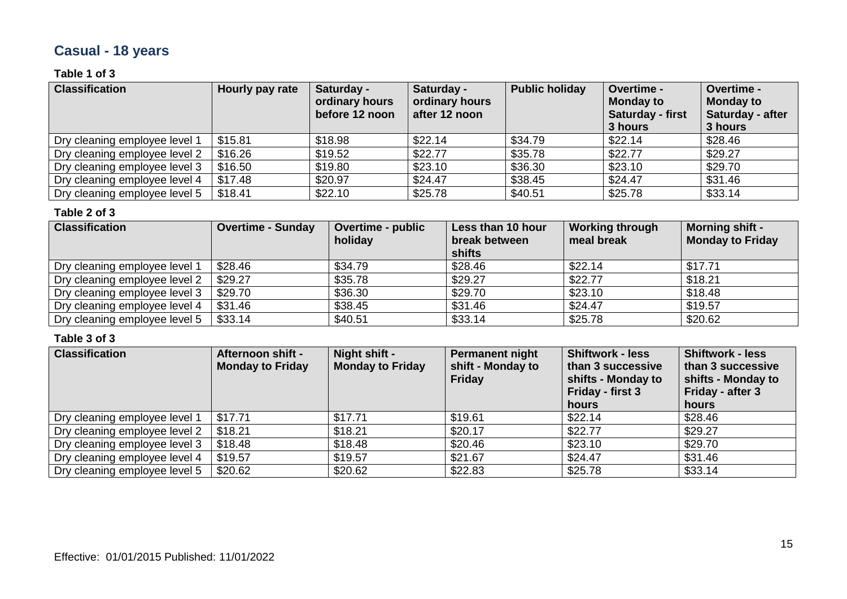# **Casual - 18 years**

### **Table 1 of 3**

| <b>Classification</b>         | Hourly pay rate | Saturday -<br>ordinary hours<br>before 12 noon | Saturday -<br>ordinary hours<br>after 12 noon | <b>Public holiday</b> | <b>Overtime -</b><br><b>Monday to</b><br>Saturday - first<br>3 hours | Overtime -<br><b>Monday to</b><br>Saturday - after<br>3 hours |
|-------------------------------|-----------------|------------------------------------------------|-----------------------------------------------|-----------------------|----------------------------------------------------------------------|---------------------------------------------------------------|
| Dry cleaning employee level 1 | \$15.81         | \$18.98                                        | \$22.14                                       | \$34.79               | \$22.14                                                              | \$28.46                                                       |
| Dry cleaning employee level 2 | \$16.26         | \$19.52                                        | \$22.77                                       | \$35.78               | \$22.77                                                              | \$29.27                                                       |
| Dry cleaning employee level 3 | \$16.50         | \$19.80                                        | \$23.10                                       | \$36.30               | \$23.10                                                              | \$29.70                                                       |
| Dry cleaning employee level 4 | \$17.48         | \$20.97                                        | \$24.47                                       | \$38.45               | \$24.47                                                              | \$31.46                                                       |
| Dry cleaning employee level 5 | \$18.41         | \$22.10                                        | \$25.78                                       | \$40.51               | \$25.78                                                              | \$33.14                                                       |

#### **Table 2 of 3**

| <b>Classification</b>         | <b>Overtime - Sunday</b> | Overtime - public<br>holiday | Less than 10 hour<br>break between<br>shifts | <b>Working through</b><br>meal break | <b>Morning shift -</b><br><b>Monday to Friday</b> |
|-------------------------------|--------------------------|------------------------------|----------------------------------------------|--------------------------------------|---------------------------------------------------|
| Dry cleaning employee level 1 | \$28.46                  | \$34.79                      | \$28.46                                      | \$22.14                              | \$17.71                                           |
| Dry cleaning employee level 2 | \$29.27                  | \$35.78                      | \$29.27                                      | \$22.77                              | \$18.21                                           |
| Dry cleaning employee level 3 | \$29.70                  | \$36.30                      | \$29.70                                      | \$23.10                              | \$18.48                                           |
| Dry cleaning employee level 4 | \$31.46                  | \$38.45                      | \$31.46                                      | \$24.47                              | \$19.57                                           |
| Dry cleaning employee level 5 | \$33.14                  | \$40.51                      | \$33.14                                      | \$25.78                              | \$20.62                                           |

| <b>Classification</b>         | Afternoon shift -<br><b>Monday to Friday</b> | Night shift -<br><b>Monday to Friday</b> | Permanent night<br>shift - Monday to<br><b>Friday</b> | <b>Shiftwork - less</b><br>than 3 successive<br>shifts - Monday to<br>Friday - first 3<br>hours | <b>Shiftwork - less</b><br>than 3 successive<br>shifts - Monday to<br>Friday - after 3<br>hours |
|-------------------------------|----------------------------------------------|------------------------------------------|-------------------------------------------------------|-------------------------------------------------------------------------------------------------|-------------------------------------------------------------------------------------------------|
| Dry cleaning employee level 1 | \$17.71                                      | \$17.71                                  | \$19.61                                               | \$22.14                                                                                         | \$28.46                                                                                         |
| Dry cleaning employee level 2 | \$18.21                                      | \$18.21                                  | \$20.17                                               | \$22.77                                                                                         | \$29.27                                                                                         |
| Dry cleaning employee level 3 | \$18.48                                      | \$18.48                                  | \$20.46                                               | \$23.10                                                                                         | \$29.70                                                                                         |
| Dry cleaning employee level 4 | \$19.57                                      | \$19.57                                  | \$21.67                                               | \$24.47                                                                                         | \$31.46                                                                                         |
| Dry cleaning employee level 5 | \$20.62                                      | \$20.62                                  | \$22.83                                               | \$25.78                                                                                         | \$33.14                                                                                         |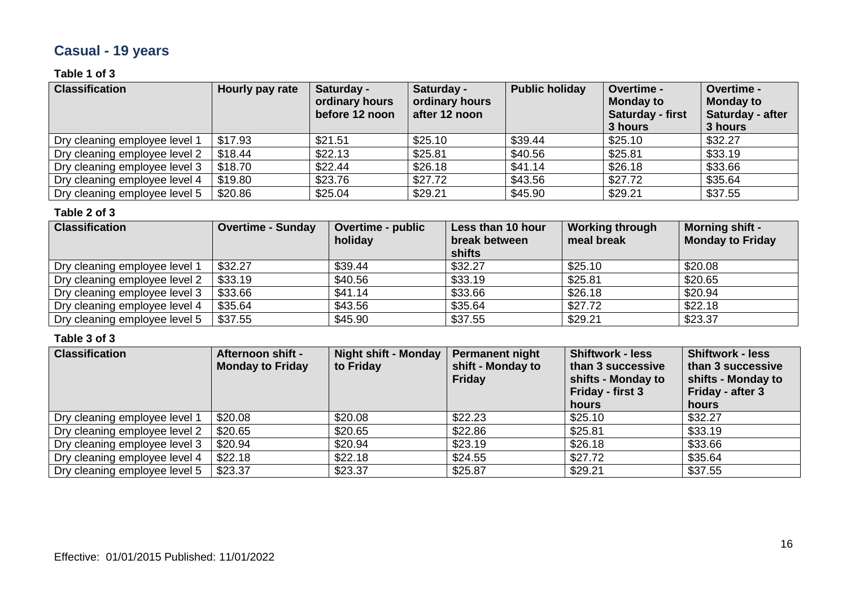# **Casual - 19 years**

### **Table 1 of 3**

| <b>Classification</b>         | Hourly pay rate | Saturday -<br>ordinary hours<br>before 12 noon | Saturday -<br>ordinary hours<br>after 12 noon | <b>Public holiday</b> | <b>Overtime -</b><br><b>Monday to</b><br>Saturday - first<br>3 hours | Overtime -<br><b>Monday to</b><br>Saturday - after<br>3 hours |
|-------------------------------|-----------------|------------------------------------------------|-----------------------------------------------|-----------------------|----------------------------------------------------------------------|---------------------------------------------------------------|
| Dry cleaning employee level 1 | \$17.93         | \$21.51                                        | \$25.10                                       | \$39.44               | \$25.10                                                              | \$32.27                                                       |
| Dry cleaning employee level 2 | \$18.44         | \$22.13                                        | \$25.81                                       | \$40.56               | \$25.81                                                              | \$33.19                                                       |
| Dry cleaning employee level 3 | \$18.70         | \$22.44                                        | \$26.18                                       | \$41.14               | \$26.18                                                              | \$33.66                                                       |
| Dry cleaning employee level 4 | \$19.80         | \$23.76                                        | \$27.72                                       | \$43.56               | \$27.72                                                              | \$35.64                                                       |
| Dry cleaning employee level 5 | \$20.86         | \$25.04                                        | \$29.21                                       | \$45.90               | \$29.21                                                              | \$37.55                                                       |

#### **Table 2 of 3**

| <b>Classification</b>         | <b>Overtime - Sunday</b> | <b>Overtime - public</b><br>holiday | Less than 10 hour<br>break between<br>shifts | <b>Working through</b><br>meal break | <b>Morning shift -</b><br><b>Monday to Friday</b> |
|-------------------------------|--------------------------|-------------------------------------|----------------------------------------------|--------------------------------------|---------------------------------------------------|
| Dry cleaning employee level 1 | \$32.27                  | \$39.44                             | \$32.27                                      | \$25.10                              | \$20.08                                           |
| Dry cleaning employee level 2 | \$33.19                  | \$40.56                             | \$33.19                                      | \$25.81                              | \$20.65                                           |
| Dry cleaning employee level 3 | \$33.66                  | \$41.14                             | \$33.66                                      | \$26.18                              | \$20.94                                           |
| Dry cleaning employee level 4 | \$35.64                  | \$43.56                             | \$35.64                                      | \$27.72                              | \$22.18                                           |
| Dry cleaning employee level 5 | \$37.55                  | \$45.90                             | \$37.55                                      | \$29.21                              | \$23.37                                           |

| <b>Classification</b>         | <b>Afternoon shift -</b><br><b>Monday to Friday</b> | <b>Night shift - Monday</b><br>to Friday | <b>Permanent night</b><br>shift - Monday to<br><b>Friday</b> | <b>Shiftwork - less</b><br>than 3 successive<br>shifts - Monday to<br>Friday - first 3<br>hours | <b>Shiftwork - less</b><br>than 3 successive<br>shifts - Monday to<br>Friday - after 3<br>hours |
|-------------------------------|-----------------------------------------------------|------------------------------------------|--------------------------------------------------------------|-------------------------------------------------------------------------------------------------|-------------------------------------------------------------------------------------------------|
| Dry cleaning employee level 1 | \$20.08                                             | \$20.08                                  | \$22.23                                                      | \$25.10                                                                                         | \$32.27                                                                                         |
| Dry cleaning employee level 2 | \$20.65                                             | \$20.65                                  | \$22.86                                                      | \$25.81                                                                                         | \$33.19                                                                                         |
| Dry cleaning employee level 3 | \$20.94                                             | \$20.94                                  | \$23.19                                                      | \$26.18                                                                                         | \$33.66                                                                                         |
| Dry cleaning employee level 4 | \$22.18                                             | \$22.18                                  | \$24.55                                                      | \$27.72                                                                                         | \$35.64                                                                                         |
| Dry cleaning employee level 5 | \$23.37                                             | \$23.37                                  | \$25.87                                                      | \$29.21                                                                                         | \$37.55                                                                                         |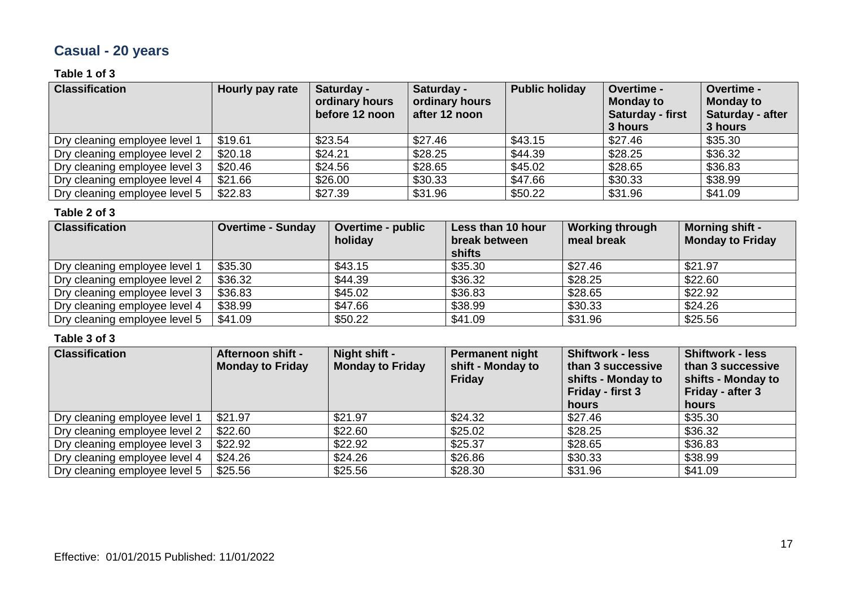# **Casual - 20 years**

### **Table 1 of 3**

| <b>Classification</b>         | Hourly pay rate | Saturday -<br>ordinary hours<br>before 12 noon | Saturday -<br>ordinary hours<br>after 12 noon | <b>Public holiday</b> | Overtime -<br><b>Monday to</b><br><b>Saturday - first</b><br>3 hours | Overtime -<br><b>Monday to</b><br>Saturday - after<br>3 hours |
|-------------------------------|-----------------|------------------------------------------------|-----------------------------------------------|-----------------------|----------------------------------------------------------------------|---------------------------------------------------------------|
| Dry cleaning employee level   | \$19.61         | \$23.54                                        | \$27.46                                       | \$43.15               | \$27.46                                                              | \$35.30                                                       |
| Dry cleaning employee level 2 | \$20.18         | \$24.21                                        | \$28.25                                       | \$44.39               | \$28.25                                                              | \$36.32                                                       |
| Dry cleaning employee level 3 | \$20.46         | \$24.56                                        | \$28.65                                       | \$45.02               | \$28.65                                                              | \$36.83                                                       |
| Dry cleaning employee level 4 | \$21.66         | \$26.00                                        | \$30.33                                       | \$47.66               | \$30.33                                                              | \$38.99                                                       |
| Dry cleaning employee level 5 | \$22.83         | \$27.39                                        | \$31.96                                       | \$50.22               | \$31.96                                                              | \$41.09                                                       |

#### **Table 2 of 3**

| <b>Classification</b>         | <b>Overtime - Sunday</b> | <b>Overtime - public</b><br>holiday | Less than 10 hour<br>break between<br>shifts | <b>Working through</b><br>meal break | <b>Morning shift -</b><br><b>Monday to Friday</b> |
|-------------------------------|--------------------------|-------------------------------------|----------------------------------------------|--------------------------------------|---------------------------------------------------|
| Dry cleaning employee level 1 | \$35.30                  | \$43.15                             | \$35.30                                      | \$27.46                              | \$21.97                                           |
| Dry cleaning employee level 2 | \$36.32                  | \$44.39                             | \$36.32                                      | \$28.25                              | \$22.60                                           |
| Dry cleaning employee level 3 | \$36.83                  | \$45.02                             | \$36.83                                      | \$28.65                              | \$22.92                                           |
| Dry cleaning employee level 4 | \$38.99                  | \$47.66                             | \$38.99                                      | \$30.33                              | \$24.26                                           |
| Dry cleaning employee level 5 | \$41.09                  | \$50.22                             | \$41.09                                      | \$31.96                              | \$25.56                                           |

| <b>Classification</b>         | Afternoon shift -<br><b>Monday to Friday</b> | Night shift -<br><b>Monday to Friday</b> | Permanent night<br>shift - Monday to<br><b>Friday</b> | <b>Shiftwork - less</b><br>than 3 successive<br>shifts - Monday to<br>Friday - first 3<br>hours | <b>Shiftwork - less</b><br>than 3 successive<br>shifts - Monday to<br>Friday - after 3<br>hours |
|-------------------------------|----------------------------------------------|------------------------------------------|-------------------------------------------------------|-------------------------------------------------------------------------------------------------|-------------------------------------------------------------------------------------------------|
| Dry cleaning employee level 1 | \$21.97                                      | \$21.97                                  | \$24.32                                               | \$27.46                                                                                         | \$35.30                                                                                         |
| Dry cleaning employee level 2 | \$22.60                                      | \$22.60                                  | \$25.02                                               | \$28.25                                                                                         | \$36.32                                                                                         |
| Dry cleaning employee level 3 | \$22.92                                      | \$22.92                                  | \$25.37                                               | \$28.65                                                                                         | \$36.83                                                                                         |
| Dry cleaning employee level 4 | \$24.26                                      | \$24.26                                  | \$26.86                                               | \$30.33                                                                                         | \$38.99                                                                                         |
| Dry cleaning employee level 5 | \$25.56                                      | \$25.56                                  | \$28.30                                               | \$31.96                                                                                         | \$41.09                                                                                         |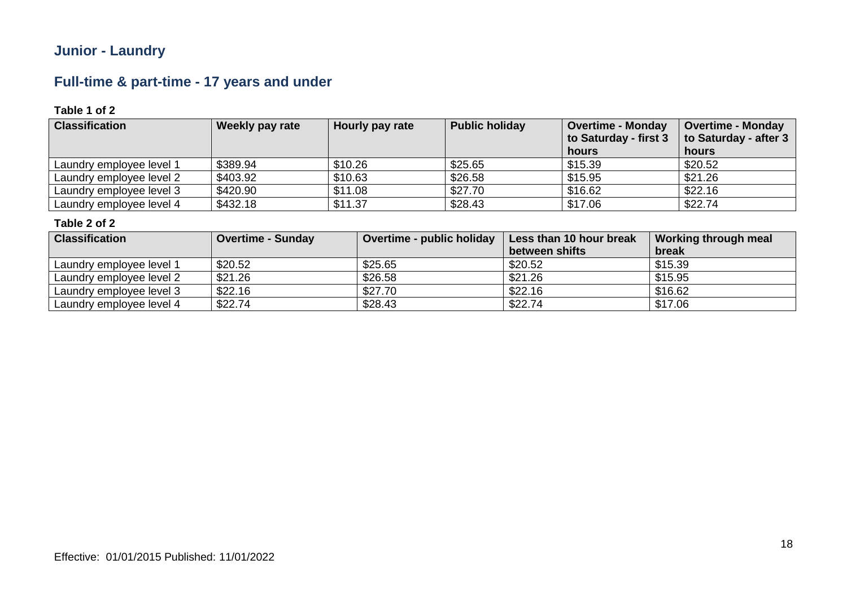# **Junior - Laundry**

# **Full-time & part-time - 17 years and under**

### **Table 1 of 2**

| <b>Classification</b>    | <b>Weekly pay rate</b> | Hourly pay rate | <b>Public holiday</b> | <b>Overtime - Monday</b><br>to Saturday - first 3<br>hours | <b>Overtime - Monday</b><br>to Saturday - after 3<br>hours |
|--------------------------|------------------------|-----------------|-----------------------|------------------------------------------------------------|------------------------------------------------------------|
| Laundry employee level 1 | \$389.94               | \$10.26         | \$25.65               | \$15.39                                                    | \$20.52                                                    |
| Laundry employee level 2 | \$403.92               | \$10.63         | \$26.58               | \$15.95                                                    | \$21.26                                                    |
| Laundry employee level 3 | \$420.90               | \$11.08         | \$27.70               | \$16.62                                                    | \$22.16                                                    |
| Laundry employee level 4 | \$432.18               | \$11.37         | \$28.43               | \$17.06                                                    | \$22.74                                                    |

| <b>Classification</b>    | Overtime - Sunday | Overtime - public holiday | Less than 10 hour break<br>between shifts | Working through meal<br>break |
|--------------------------|-------------------|---------------------------|-------------------------------------------|-------------------------------|
| Laundry employee level 1 | \$20.52           | \$25.65                   | \$20.52                                   | \$15.39                       |
| Laundry employee level 2 | \$21.26           | \$26.58                   | \$21.26                                   | \$15.95                       |
| Laundry employee level 3 | \$22.16           | \$27.70                   | \$22.16                                   | \$16.62                       |
| Laundry employee level 4 | \$22.74           | \$28.43                   | \$22.74                                   | \$17.06                       |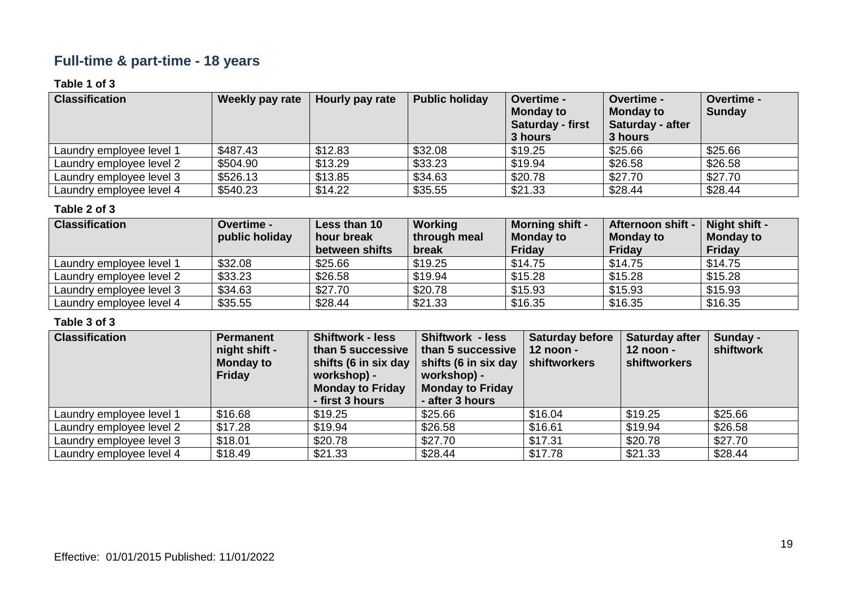# **Full-time & part-time - 18 years**

### **Table 1 of 3**

| <b>Classification</b>    | Weekly pay rate | Hourly pay rate | <b>Public holiday</b> | <b>Overtime -</b><br><b>Monday to</b><br><b>Saturday - first</b><br>3 hours | <b>Overtime -</b><br><b>Monday to</b><br>Saturday - after<br>3 hours | Overtime -<br><b>Sunday</b> |
|--------------------------|-----------------|-----------------|-----------------------|-----------------------------------------------------------------------------|----------------------------------------------------------------------|-----------------------------|
| Laundry employee level 1 | \$487.43        | \$12.83         | \$32.08               | \$19.25                                                                     | \$25.66                                                              | \$25.66                     |
| Laundry employee level 2 | \$504.90        | \$13.29         | \$33.23               | \$19.94                                                                     | \$26.58                                                              | \$26.58                     |
| Laundry employee level 3 | \$526.13        | \$13.85         | \$34.63               | \$20.78                                                                     | \$27.70                                                              | \$27.70                     |
| Laundry employee level 4 | \$540.23        | \$14.22         | \$35.55               | \$21.33                                                                     | \$28.44                                                              | \$28.44                     |

#### **Table 2 of 3**

| <b>Classification</b>    | <b>Overtime -</b> | Less than 10   | Working      | <b>Morning shift -</b> | Afternoon shift - | Night shift -    |
|--------------------------|-------------------|----------------|--------------|------------------------|-------------------|------------------|
|                          | public holiday    | hour break     | through meal | <b>Monday to</b>       | <b>Monday to</b>  | <b>Monday to</b> |
|                          |                   | between shifts | break        | <b>Friday</b>          | <b>Friday</b>     | <b>Friday</b>    |
| Laundry employee level 1 | \$32.08           | \$25.66        | \$19.25      | \$14.75                | \$14.75           | \$14.75          |
| Laundry employee level 2 | \$33.23           | \$26.58        | \$19.94      | \$15.28                | \$15.28           | \$15.28          |
| Laundry employee level 3 | \$34.63           | \$27.70        | \$20.78      | \$15.93                | \$15.93           | \$15.93          |
| Laundry employee level 4 | \$35.55           | \$28.44        | \$21.33      | \$16.35                | \$16.35           | \$16.35          |

| <b>Classification</b>    | <b>Permanent</b><br>night shift -<br><b>Monday to</b><br><b>Friday</b> | <b>Shiftwork - less</b><br>than 5 successive<br>shifts (6 in six day<br>workshop) -<br><b>Monday to Friday</b><br>- first 3 hours | <b>Shiftwork - less</b><br>than 5 successive<br>shifts (6 in six day $\vert$ shiftworkers<br>workshop) -<br><b>Monday to Friday</b><br>- after 3 hours | <b>Saturday before</b><br>$12$ noon - | <b>Saturday after</b><br>12 noon -<br><b>shiftworkers</b> | Sunday -<br>shiftwork |
|--------------------------|------------------------------------------------------------------------|-----------------------------------------------------------------------------------------------------------------------------------|--------------------------------------------------------------------------------------------------------------------------------------------------------|---------------------------------------|-----------------------------------------------------------|-----------------------|
| Laundry employee level 1 | \$16.68                                                                | \$19.25                                                                                                                           | \$25.66                                                                                                                                                | \$16.04                               | \$19.25                                                   | \$25.66               |
| Laundry employee level 2 | \$17.28                                                                | \$19.94                                                                                                                           | \$26.58                                                                                                                                                | \$16.61                               | \$19.94                                                   | \$26.58               |
| Laundry employee level 3 | \$18.01                                                                | \$20.78                                                                                                                           | \$27.70                                                                                                                                                | \$17.31                               | \$20.78                                                   | \$27.70               |
| Laundry employee level 4 | \$18.49                                                                | \$21.33                                                                                                                           | \$28.44                                                                                                                                                | \$17.78                               | \$21.33                                                   | \$28.44               |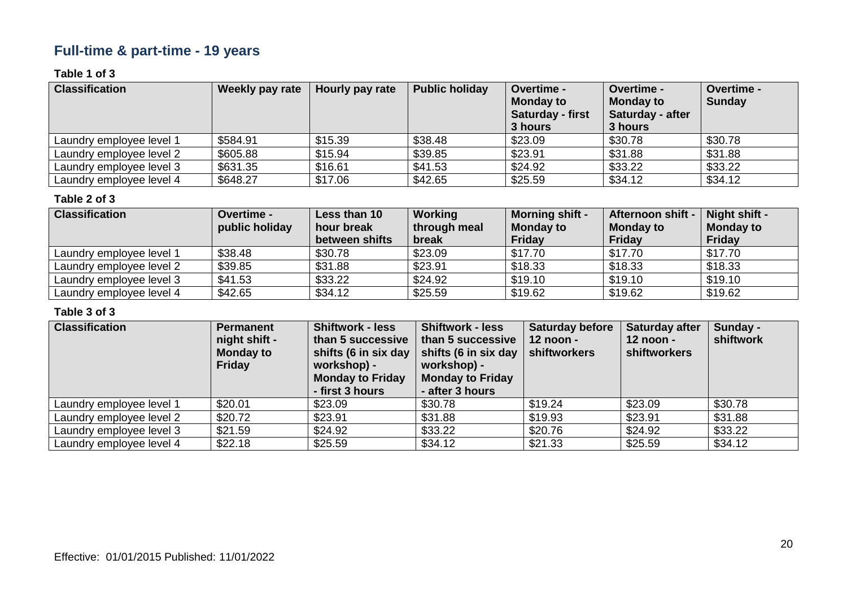# **Full-time & part-time - 19 years**

### **Table 1 of 3**

| <b>Classification</b>    | Weekly pay rate | Hourly pay rate | <b>Public holiday</b> | <b>Overtime -</b><br><b>Monday to</b><br><b>Saturday - first</b><br>3 hours | <b>Overtime -</b><br><b>Monday to</b><br>Saturday - after<br>3 hours | Overtime -<br>Sunday |
|--------------------------|-----------------|-----------------|-----------------------|-----------------------------------------------------------------------------|----------------------------------------------------------------------|----------------------|
| Laundry emplovee level 1 | \$584.91        | \$15.39         | \$38.48               | \$23.09                                                                     | \$30.78                                                              | \$30.78              |
| Laundry employee level 2 | \$605.88        | \$15.94         | \$39.85               | \$23.91                                                                     | \$31.88                                                              | \$31.88              |
| Laundry employee level 3 | \$631.35        | \$16.61         | \$41.53               | \$24.92                                                                     | \$33.22                                                              | \$33.22              |
| Laundry employee level 4 | \$648.27        | \$17.06         | \$42.65               | \$25.59                                                                     | \$34.12                                                              | \$34.12              |

#### **Table 2 of 3**

| <b>Classification</b>    | <b>Overtime -</b><br>public holiday | Less than 10<br>hour break<br>between shifts | Working<br>through meal<br>break | <b>Morning shift -</b><br><b>Monday to</b><br><b>Friday</b> | Afternoon shift -<br>Monday to<br>Friday | Night shift -<br><b>Monday to</b><br>Friday |
|--------------------------|-------------------------------------|----------------------------------------------|----------------------------------|-------------------------------------------------------------|------------------------------------------|---------------------------------------------|
| Laundry employee level 1 | \$38.48                             | \$30.78                                      | \$23.09                          | \$17.70                                                     | \$17.70                                  | \$17.70                                     |
| Laundry employee level 2 | \$39.85                             | \$31.88                                      | \$23.91                          | \$18.33                                                     | \$18.33                                  | \$18.33                                     |
| Laundry employee level 3 | \$41.53                             | \$33.22                                      | \$24.92                          | \$19.10                                                     | \$19.10                                  | \$19.10                                     |
| Laundry employee level 4 | \$42.65                             | \$34.12                                      | \$25.59                          | \$19.62                                                     | \$19.62                                  | \$19.62                                     |

| <b>Classification</b>    | <b>Permanent</b><br>night shift -<br><b>Monday to</b><br><b>Friday</b> | <b>Shiftwork - less</b><br>than 5 successive<br>shifts (6 in six day<br>workshop) -<br><b>Monday to Friday</b><br>- first 3 hours | <b>Shiftwork - less</b><br>than 5 successive<br>shifts (6 in six day<br>workshop) -<br><b>Monday to Friday</b><br>- after 3 hours | <b>Saturday before</b><br>$12$ noon -<br>shiftworkers | <b>Saturday after</b><br>$12$ noon -<br><b>shiftworkers</b> | Sunday -<br>shiftwork |
|--------------------------|------------------------------------------------------------------------|-----------------------------------------------------------------------------------------------------------------------------------|-----------------------------------------------------------------------------------------------------------------------------------|-------------------------------------------------------|-------------------------------------------------------------|-----------------------|
| Laundry employee level 1 | \$20.01                                                                | \$23.09                                                                                                                           | \$30.78                                                                                                                           | \$19.24                                               | \$23.09                                                     | \$30.78               |
| Laundry employee level 2 | \$20.72                                                                | \$23.91                                                                                                                           | \$31.88                                                                                                                           | \$19.93                                               | \$23.91                                                     | \$31.88               |
| Laundry employee level 3 | \$21.59                                                                | \$24.92                                                                                                                           | \$33.22                                                                                                                           | \$20.76                                               | \$24.92                                                     | \$33.22               |
| Laundry employee level 4 | \$22.18                                                                | \$25.59                                                                                                                           | \$34.12                                                                                                                           | \$21.33                                               | \$25.59                                                     | \$34.12               |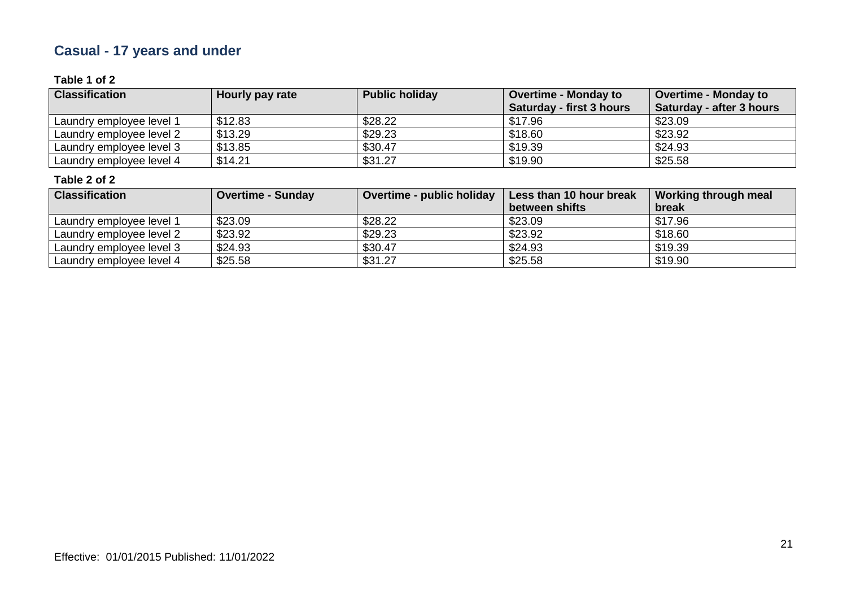# **Casual - 17 years and under**

### **Table 1 of 2**

| <b>Classification</b>    | Hourly pay rate | <b>Public holiday</b> | <b>Overtime - Monday to</b><br><b>Saturday - first 3 hours</b> | <b>Overtime - Monday to</b><br><b>Saturday - after 3 hours</b> |
|--------------------------|-----------------|-----------------------|----------------------------------------------------------------|----------------------------------------------------------------|
| Laundry employee level 1 | \$12.83         | \$28.22               | \$17.96                                                        | \$23.09                                                        |
| Laundry employee level 2 | \$13.29         | \$29.23               | \$18.60                                                        | \$23.92                                                        |
| Laundry employee level 3 | \$13.85         | \$30.47               | \$19.39                                                        | \$24.93                                                        |
| Laundry employee level 4 | \$14.21         | \$31.27               | \$19.90                                                        | \$25.58                                                        |

| <b>Classification</b>    | Overtime - Sunday | Overtime - public holiday | Less than 10 hour break | Working through meal |
|--------------------------|-------------------|---------------------------|-------------------------|----------------------|
|                          |                   |                           | between shifts          | break                |
| Laundry employee level 1 | \$23.09           | \$28.22                   | \$23.09                 | \$17.96              |
| Laundry employee level 2 | \$23.92           | \$29.23                   | \$23.92                 | \$18.60              |
| Laundry employee level 3 | \$24.93           | \$30.47                   | \$24.93                 | \$19.39              |
| Laundry employee level 4 | \$25.58           | \$31.27                   | \$25.58                 | \$19.90              |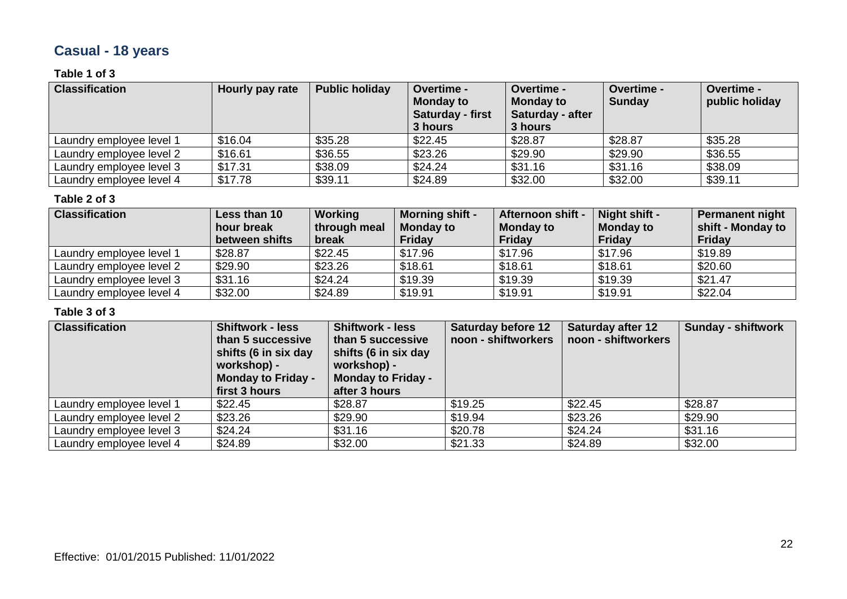# **Casual - 18 years**

### **Table 1 of 3**

| <b>Classification</b>    | Hourly pay rate | <b>Public holiday</b> | <b>Overtime -</b><br><b>Monday to</b><br>Saturday - first<br>3 hours | <b>Overtime -</b><br><b>Monday to</b><br>Saturday - after<br>3 hours | Overtime -<br><b>Sunday</b> | <b>Overtime -</b><br>public holiday |
|--------------------------|-----------------|-----------------------|----------------------------------------------------------------------|----------------------------------------------------------------------|-----------------------------|-------------------------------------|
| Laundry employee level 1 | \$16.04         | \$35.28               | \$22.45                                                              | \$28.87                                                              | \$28.87                     | \$35.28                             |
| Laundry employee level 2 | \$16.61         | \$36.55               | \$23.26                                                              | \$29.90                                                              | \$29.90                     | \$36.55                             |
| Laundry employee level 3 | \$17.31         | \$38.09               | \$24.24                                                              | \$31.16                                                              | \$31.16                     | \$38.09                             |
| Laundry employee level 4 | \$17.78         | \$39.11               | \$24.89                                                              | \$32.00                                                              | \$32.00                     | \$39.11                             |

#### **Table 2 of 3**

| <b>Classification</b>    | Less than 10<br>hour break<br>between shifts | Working<br>through meal<br>break | <b>Morning shift -</b><br><b>Monday to</b><br>Friday | <b>Afternoon shift -</b><br><b>Monday to</b><br><b>Friday</b> | Night shift -<br><b>Monday to</b><br><b>Friday</b> | <b>Permanent night</b><br>shift - Monday to<br><b>Friday</b> |
|--------------------------|----------------------------------------------|----------------------------------|------------------------------------------------------|---------------------------------------------------------------|----------------------------------------------------|--------------------------------------------------------------|
| Laundry employee level 1 | \$28.87                                      | \$22.45                          | \$17.96                                              | \$17.96                                                       | \$17.96                                            | \$19.89                                                      |
| Laundry employee level 2 | \$29.90                                      | \$23.26                          | \$18.61                                              | \$18.61                                                       | \$18.61                                            | \$20.60                                                      |
| Laundry employee level 3 | \$31.16                                      | \$24.24                          | \$19.39                                              | \$19.39                                                       | \$19.39                                            | \$21.47                                                      |
| Laundry employee level 4 | \$32.00                                      | \$24.89                          | \$19.91                                              | \$19.91                                                       | \$19.91                                            | \$22.04                                                      |

| <b>Classification</b>    | <b>Shiftwork - less</b><br>than 5 successive<br>shifts (6 in six day<br>workshop) -<br><b>Monday to Friday -</b><br>first 3 hours | <b>Shiftwork - less</b><br>than 5 successive<br>shifts (6 in six day<br>workshop) -<br><b>Monday to Friday -</b><br>after 3 hours | <b>Saturday before 12</b><br>noon - shiftworkers | <b>Saturday after 12</b><br>noon - shiftworkers | <b>Sunday - shiftwork</b> |
|--------------------------|-----------------------------------------------------------------------------------------------------------------------------------|-----------------------------------------------------------------------------------------------------------------------------------|--------------------------------------------------|-------------------------------------------------|---------------------------|
| Laundry employee level 1 | \$22.45                                                                                                                           | \$28.87                                                                                                                           | \$19.25                                          | \$22.45                                         | \$28.87                   |
| Laundry employee level 2 | \$23.26                                                                                                                           | \$29.90                                                                                                                           | \$19.94                                          | \$23.26                                         | \$29.90                   |
| Laundry employee level 3 | \$24.24                                                                                                                           | \$31.16                                                                                                                           | \$20.78                                          | \$24.24                                         | \$31.16                   |
| Laundry employee level 4 | \$24.89                                                                                                                           | \$32.00                                                                                                                           | \$21.33                                          | \$24.89                                         | \$32.00                   |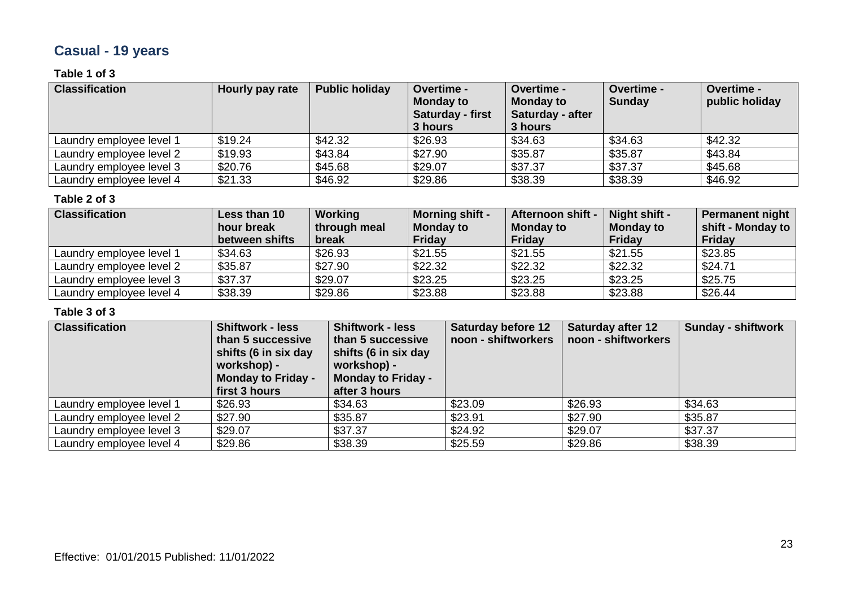# **Casual - 19 years**

### **Table 1 of 3**

| <b>Classification</b>    | Hourly pay rate | <b>Public holiday</b> | <b>Overtime -</b><br><b>Monday to</b><br>Saturday - first<br>3 hours | <b>Overtime -</b><br><b>Monday to</b><br>Saturday - after<br>3 hours | Overtime -<br><b>Sunday</b> | <b>Overtime -</b><br>public holiday |
|--------------------------|-----------------|-----------------------|----------------------------------------------------------------------|----------------------------------------------------------------------|-----------------------------|-------------------------------------|
| Laundry employee level 1 | \$19.24         | \$42.32               | \$26.93                                                              | \$34.63                                                              | \$34.63                     | \$42.32                             |
| Laundry employee level 2 | \$19.93         | \$43.84               | \$27.90                                                              | \$35.87                                                              | \$35.87                     | \$43.84                             |
| Laundry employee level 3 | \$20.76         | \$45.68               | \$29.07                                                              | \$37.37                                                              | \$37.37                     | \$45.68                             |
| Laundry employee level 4 | \$21.33         | \$46.92               | \$29.86                                                              | \$38.39                                                              | \$38.39                     | \$46.92                             |

#### **Table 2 of 3**

| <b>Classification</b>    | Less than 10<br>hour break<br>between shifts | Working<br>through meal<br>break | <b>Morning shift -</b><br><b>Monday to</b><br><b>Friday</b> | <b>Afternoon shift -</b><br><b>Monday to</b><br><b>Friday</b> | Night shift -<br><b>Monday to</b><br><b>Friday</b> | Permanent night<br>shift - Monday to<br>Friday |
|--------------------------|----------------------------------------------|----------------------------------|-------------------------------------------------------------|---------------------------------------------------------------|----------------------------------------------------|------------------------------------------------|
| Laundry employee level 1 | \$34.63                                      | \$26.93                          | \$21.55                                                     | \$21.55                                                       | \$21.55                                            | \$23.85                                        |
| Laundry employee level 2 | \$35.87                                      | \$27.90                          | \$22.32                                                     | \$22.32                                                       | \$22.32                                            | \$24.71                                        |
| Laundry employee level 3 | \$37.37                                      | \$29.07                          | \$23.25                                                     | \$23.25                                                       | \$23.25                                            | \$25.75                                        |
| Laundry employee level 4 | \$38.39                                      | \$29.86                          | \$23.88                                                     | \$23.88                                                       | \$23.88                                            | \$26.44                                        |

| <b>Classification</b>    | <b>Shiftwork - less</b><br>than 5 successive<br>shifts (6 in six day<br>workshop) -<br><b>Monday to Friday -</b><br>first 3 hours | <b>Shiftwork - less</b><br>than 5 successive<br>shifts (6 in six day<br>workshop) -<br><b>Monday to Friday -</b><br>after 3 hours | <b>Saturday before 12</b><br>noon - shiftworkers | <b>Saturday after 12</b><br>noon - shiftworkers | <b>Sunday - shiftwork</b> |
|--------------------------|-----------------------------------------------------------------------------------------------------------------------------------|-----------------------------------------------------------------------------------------------------------------------------------|--------------------------------------------------|-------------------------------------------------|---------------------------|
| Laundry employee level 1 | \$26.93                                                                                                                           | \$34.63                                                                                                                           | \$23.09                                          | \$26.93                                         | \$34.63                   |
| Laundry employee level 2 | \$27.90                                                                                                                           | \$35.87                                                                                                                           | \$23.91                                          | \$27.90                                         | \$35.87                   |
| Laundry employee level 3 | \$29.07                                                                                                                           | \$37.37                                                                                                                           | \$24.92                                          | \$29.07                                         | \$37.37                   |
| Laundry employee level 4 | \$29.86                                                                                                                           | \$38.39                                                                                                                           | \$25.59                                          | \$29.86                                         | \$38.39                   |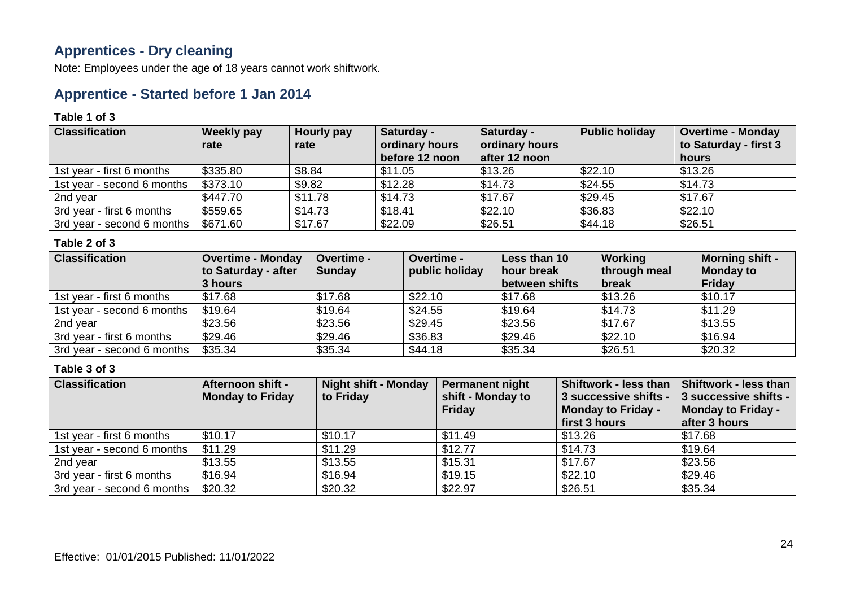### **Apprentices - Dry cleaning**

Note: Employees under the age of 18 years cannot work shiftwork.

### **Apprentice - Started before 1 Jan 2014**

#### **Table 1 of 3**

| <b>Classification</b>      | Weekly pay<br>rate | Hourly pay<br>rate | Saturday -<br>ordinary hours<br>before 12 noon | Saturday -<br>ordinary hours<br>after 12 noon | <b>Public holiday</b> | <b>Overtime - Monday</b><br>to Saturday - first 3<br>hours |
|----------------------------|--------------------|--------------------|------------------------------------------------|-----------------------------------------------|-----------------------|------------------------------------------------------------|
| 1st year - first 6 months  | \$335.80           | \$8.84             | \$11.05                                        | \$13.26                                       | \$22.10               | \$13.26                                                    |
| 1st year - second 6 months | \$373.10           | \$9.82             | \$12.28                                        | \$14.73                                       | \$24.55               | \$14.73                                                    |
| 2nd year                   | \$447.70           | \$11.78            | \$14.73                                        | \$17.67                                       | \$29.45               | \$17.67                                                    |
| 3rd year - first 6 months  | \$559.65           | \$14.73            | \$18.41                                        | \$22.10                                       | \$36.83               | \$22.10                                                    |
| 3rd year - second 6 months | \$671.60           | \$17.67            | \$22.09                                        | \$26.51                                       | \$44.18               | \$26.51                                                    |

#### **Table 2 of 3**

| <b>Classification</b>      | <b>Overtime - Monday</b><br>to Saturday - after | <b>Overtime -</b><br><b>Sunday</b> | <b>Overtime -</b><br>public holiday | Less than 10<br>hour break | Working<br>through meal | <b>Morning shift -</b><br><b>Monday to</b> |
|----------------------------|-------------------------------------------------|------------------------------------|-------------------------------------|----------------------------|-------------------------|--------------------------------------------|
|                            | 3 hours                                         |                                    |                                     | between shifts             | break                   | <b>Friday</b>                              |
| 1st year - first 6 months  | \$17.68                                         | \$17.68                            | \$22.10                             | \$17.68                    | \$13.26                 | \$10.17                                    |
| 1st year - second 6 months | \$19.64                                         | \$19.64                            | \$24.55                             | \$19.64                    | \$14.73                 | \$11.29                                    |
| 2nd year                   | \$23.56                                         | \$23.56                            | \$29.45                             | \$23.56                    | \$17.67                 | \$13.55                                    |
| 3rd year - first 6 months  | \$29.46                                         | \$29.46                            | \$36.83                             | \$29.46                    | \$22.10                 | \$16.94                                    |
| 3rd year - second 6 months | \$35.34                                         | \$35.34                            | \$44.18                             | \$35.34                    | \$26.51                 | \$20.32                                    |

| <b>Classification</b>      | <b>Afternoon shift -</b><br><b>Monday to Friday</b> | <b>Night shift - Monday</b><br>to Friday | <b>Permanent night</b><br>shift - Monday to<br><b>Friday</b> | <b>Shiftwork - less than</b><br>3 successive shifts -<br><b>Monday to Friday -</b><br>first 3 hours | Shiftwork - less than<br>3 successive shifts -<br><b>Monday to Friday -</b><br>after 3 hours |
|----------------------------|-----------------------------------------------------|------------------------------------------|--------------------------------------------------------------|-----------------------------------------------------------------------------------------------------|----------------------------------------------------------------------------------------------|
| 1st year - first 6 months  | \$10.17                                             | \$10.17                                  | \$11.49                                                      | \$13.26                                                                                             | \$17.68                                                                                      |
| 1st year - second 6 months | \$11.29                                             | \$11.29                                  | \$12.77                                                      | \$14.73                                                                                             | \$19.64                                                                                      |
| 2nd year                   | \$13.55                                             | \$13.55                                  | \$15.31                                                      | \$17.67                                                                                             | \$23.56                                                                                      |
| 3rd year - first 6 months  | \$16.94                                             | \$16.94                                  | \$19.15                                                      | \$22.10                                                                                             | \$29.46                                                                                      |
| 3rd year - second 6 months | \$20.32                                             | \$20.32                                  | \$22.97                                                      | \$26.51                                                                                             | \$35.34                                                                                      |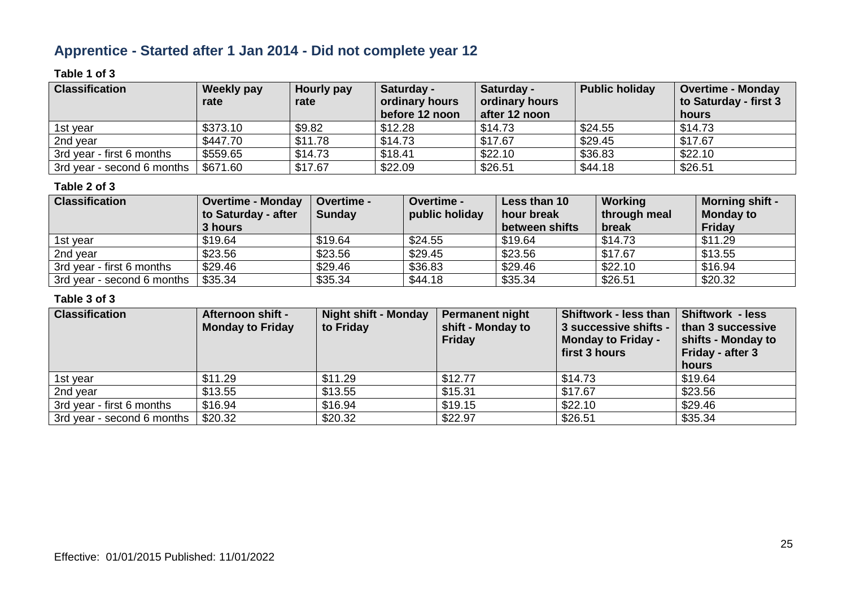# **Apprentice - Started after 1 Jan 2014 - Did not complete year 12**

### **Table 1 of 3**

| <b>Classification</b>      | Weekly pay<br>rate | Hourly pay<br>rate | Saturday -<br>ordinary hours<br>before 12 noon | Saturday -<br>ordinary hours<br>after 12 noon | <b>Public holiday</b> | <b>Overtime - Monday</b><br>to Saturday - first 3<br>hours |
|----------------------------|--------------------|--------------------|------------------------------------------------|-----------------------------------------------|-----------------------|------------------------------------------------------------|
| 1st year                   | \$373.10           | \$9.82             | \$12.28                                        | \$14.73                                       | \$24.55               | \$14.73                                                    |
| 2nd year                   | \$447.70           | \$11.78            | \$14.73                                        | \$17.67                                       | \$29.45               | \$17.67                                                    |
| 3rd year - first 6 months  | \$559.65           | \$14.73            | \$18.41                                        | \$22.10                                       | \$36.83               | \$22.10                                                    |
| 3rd year - second 6 months | \$671.60           | \$17.67            | \$22.09                                        | \$26.51                                       | \$44.18               | \$26.51                                                    |

### **Table 2 of 3**

| <b>Classification</b>      | <b>Overtime - Monday</b><br>to Saturday - after<br>3 hours | <b>Overtime -</b><br><b>Sunday</b> | <b>Overtime -</b><br>public holiday | Less than 10<br>hour break<br>between shifts | Working<br>through meal<br>break | <b>Morning shift -</b><br><b>Monday to</b><br>Friday |
|----------------------------|------------------------------------------------------------|------------------------------------|-------------------------------------|----------------------------------------------|----------------------------------|------------------------------------------------------|
| 1st year                   | \$19.64                                                    | \$19.64                            | \$24.55                             | \$19.64                                      | \$14.73                          | \$11.29                                              |
| 2nd year                   | \$23.56                                                    | \$23.56                            | \$29.45                             | \$23.56                                      | \$17.67                          | \$13.55                                              |
| 3rd year - first 6 months  | \$29.46                                                    | \$29.46                            | \$36.83                             | \$29.46                                      | \$22.10                          | \$16.94                                              |
| 3rd year - second 6 months | \$35.34                                                    | \$35.34                            | \$44.18                             | \$35.34                                      | \$26.51                          | \$20.32                                              |

| <b>Classification</b>      | <b>Afternoon shift -</b><br><b>Monday to Friday</b> | <b>Night shift - Monday</b><br>to Friday | <b>Permanent night</b><br>shift - Monday to<br><b>Friday</b> | Shiftwork - less than<br>3 successive shifts -<br><b>Monday to Friday -</b><br>first 3 hours | <b>Shiftwork - less</b><br>than 3 successive<br>shifts - Monday to<br>Friday - after 3 |
|----------------------------|-----------------------------------------------------|------------------------------------------|--------------------------------------------------------------|----------------------------------------------------------------------------------------------|----------------------------------------------------------------------------------------|
|                            |                                                     |                                          |                                                              |                                                                                              | hours                                                                                  |
| 1st year                   | \$11.29                                             | \$11.29                                  | \$12.77                                                      | \$14.73                                                                                      | \$19.64                                                                                |
| 2nd year                   | \$13.55                                             | \$13.55                                  | \$15.31                                                      | \$17.67                                                                                      | \$23.56                                                                                |
| 3rd year - first 6 months  | \$16.94                                             | \$16.94                                  | \$19.15                                                      | \$22.10                                                                                      | \$29.46                                                                                |
| 3rd year - second 6 months | \$20.32                                             | \$20.32                                  | \$22.97                                                      | \$26.51                                                                                      | \$35.34                                                                                |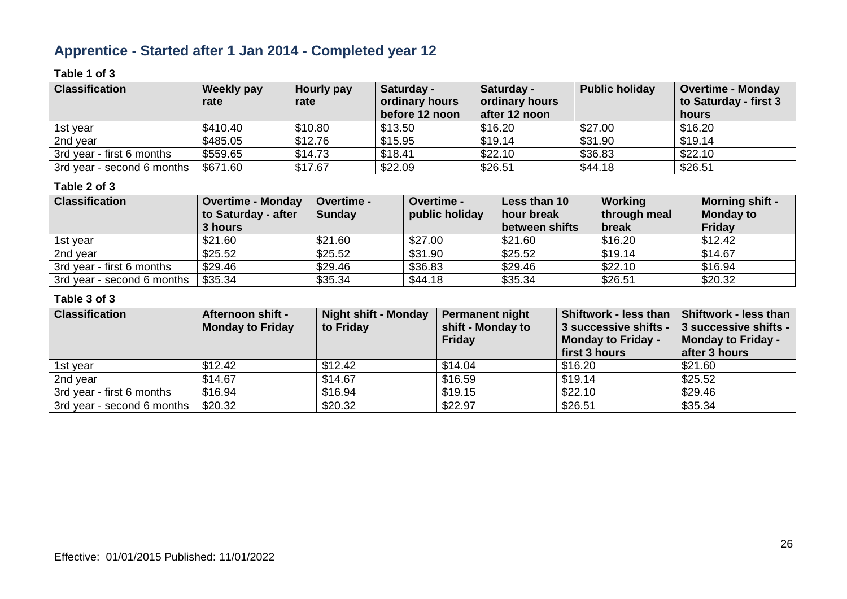# **Apprentice - Started after 1 Jan 2014 - Completed year 12**

### **Table 1 of 3**

| <b>Classification</b>      | Weekly pay<br>rate | Hourly pay<br>rate | Saturday -<br>ordinary hours<br>before 12 noon | Saturday -<br>ordinary hours<br>after 12 noon | <b>Public holiday</b> | <b>Overtime - Monday</b><br>to Saturday - first 3<br>hours |
|----------------------------|--------------------|--------------------|------------------------------------------------|-----------------------------------------------|-----------------------|------------------------------------------------------------|
| 1st year                   | \$410.40           | \$10.80            | \$13.50                                        | \$16.20                                       | \$27.00               | \$16.20                                                    |
| 2nd year                   | \$485.05           | \$12.76            | \$15.95                                        | \$19.14                                       | \$31.90               | \$19.14                                                    |
| 3rd year - first 6 months  | \$559.65           | \$14.73            | \$18.41                                        | \$22.10                                       | \$36.83               | \$22.10                                                    |
| 3rd year - second 6 months | \$671.60           | \$17.67            | \$22.09                                        | \$26.51                                       | \$44.18               | \$26.51                                                    |

### **Table 2 of 3**

| <b>Classification</b>      | <b>Overtime - Monday</b><br>to Saturday - after<br>3 hours | <b>Overtime -</b><br><b>Sunday</b> | <b>Overtime -</b><br>public holiday | Less than 10<br>hour break<br>between shifts | Working<br>through meal<br>break | <b>Morning shift -</b><br><b>Monday to</b><br>Friday |
|----------------------------|------------------------------------------------------------|------------------------------------|-------------------------------------|----------------------------------------------|----------------------------------|------------------------------------------------------|
| 1st year                   | \$21.60                                                    | \$21.60                            | \$27.00                             | \$21.60                                      | \$16.20                          | \$12.42                                              |
| 2nd year                   | \$25.52                                                    | \$25.52                            | \$31.90                             | \$25.52                                      | \$19.14                          | \$14.67                                              |
| 3rd year - first 6 months  | \$29.46                                                    | \$29.46                            | \$36.83                             | \$29.46                                      | \$22.10                          | \$16.94                                              |
| 3rd year - second 6 months | \$35.34                                                    | \$35.34                            | \$44.18                             | \$35.34                                      | \$26.51                          | \$20.32                                              |

| <b>Classification</b>      | <b>Afternoon shift -</b><br><b>Monday to Friday</b> | <b>Night shift - Monday</b><br>to Friday | <b>Permanent night</b><br>shift - Monday to<br>Friday | <b>Shiftwork - less than</b><br>3 successive shifts -<br><b>Monday to Friday -</b> | Shiftwork - less than<br>3 successive shifts -<br><b>Monday to Friday -</b> |
|----------------------------|-----------------------------------------------------|------------------------------------------|-------------------------------------------------------|------------------------------------------------------------------------------------|-----------------------------------------------------------------------------|
|                            |                                                     |                                          |                                                       | first 3 hours                                                                      | after 3 hours                                                               |
| 1st year                   | \$12.42                                             | \$12.42                                  | \$14.04                                               | \$16.20                                                                            | \$21.60                                                                     |
| 2nd year                   | \$14.67                                             | \$14.67                                  | \$16.59                                               | \$19.14                                                                            | \$25.52                                                                     |
| 3rd year - first 6 months  | \$16.94                                             | \$16.94                                  | \$19.15                                               | \$22.10                                                                            | \$29.46                                                                     |
| 3rd year - second 6 months | \$20.32                                             | \$20.32                                  | \$22.97                                               | \$26.51                                                                            | \$35.34                                                                     |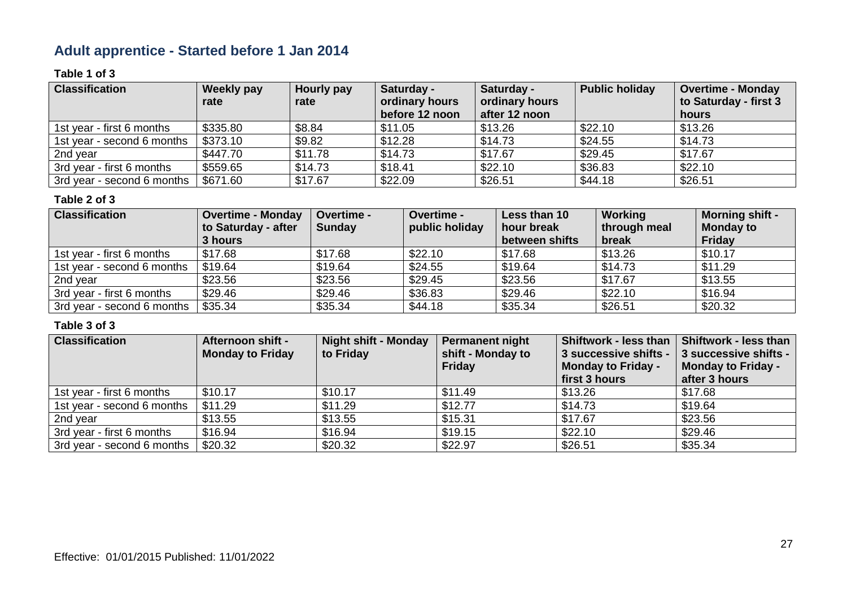# **Adult apprentice - Started before 1 Jan 2014**

### **Table 1 of 3**

| <b>Classification</b>      | Weekly pay<br>rate | Hourly pay<br>rate | Saturday -<br>ordinary hours<br>before 12 noon | Saturday -<br>ordinary hours<br>after 12 noon | <b>Public holiday</b> | <b>Overtime - Monday</b><br>to Saturday - first 3<br>hours |
|----------------------------|--------------------|--------------------|------------------------------------------------|-----------------------------------------------|-----------------------|------------------------------------------------------------|
| 1st year - first 6 months  | \$335.80           | \$8.84             | \$11.05                                        | \$13.26                                       | \$22.10               | \$13.26                                                    |
| 1st year - second 6 months | \$373.10           | \$9.82             | \$12.28                                        | \$14.73                                       | \$24.55               | \$14.73                                                    |
| 2nd year                   | \$447.70           | \$11.78            | \$14.73                                        | \$17.67                                       | \$29.45               | \$17.67                                                    |
| 3rd year - first 6 months  | \$559.65           | \$14.73            | \$18.41                                        | \$22.10                                       | \$36.83               | \$22.10                                                    |
| 3rd year - second 6 months | \$671.60           | \$17.67            | \$22.09                                        | \$26.51                                       | \$44.18               | \$26.51                                                    |

#### **Table 2 of 3**

| <b>Classification</b>      | <b>Overtime - Monday</b><br>to Saturday - after<br>3 hours | Overtime -<br><b>Sunday</b> | Overtime -<br>public holiday | Less than 10<br>hour break<br>between shifts | Working<br>through meal<br>break | <b>Morning shift -</b><br><b>Monday to</b><br><b>Friday</b> |
|----------------------------|------------------------------------------------------------|-----------------------------|------------------------------|----------------------------------------------|----------------------------------|-------------------------------------------------------------|
| 1st year - first 6 months  | \$17.68                                                    | \$17.68                     | \$22.10                      | \$17.68                                      | \$13.26                          | \$10.17                                                     |
| 1st year - second 6 months | \$19.64                                                    | \$19.64                     | \$24.55                      | \$19.64                                      | \$14.73                          | \$11.29                                                     |
| 2nd year                   | \$23.56                                                    | \$23.56                     | \$29.45                      | \$23.56                                      | \$17.67                          | \$13.55                                                     |
| 3rd year - first 6 months  | \$29.46                                                    | \$29.46                     | \$36.83                      | \$29.46                                      | \$22.10                          | \$16.94                                                     |
| 3rd year - second 6 months | \$35.34                                                    | \$35.34                     | \$44.18                      | \$35.34                                      | \$26.51                          | \$20.32                                                     |

| <b>Classification</b>      | Afternoon shift -<br><b>Monday to Friday</b> | <b>Night shift - Monday</b><br>to Friday | <b>Permanent night</b><br>shift - Monday to<br><b>Friday</b> | <b>Shiftwork - less than</b><br>3 successive shifts -<br><b>Monday to Friday -</b><br>first 3 hours | <b>Shiftwork - less than</b><br>3 successive shifts -<br>Monday to Friday -<br>after 3 hours |
|----------------------------|----------------------------------------------|------------------------------------------|--------------------------------------------------------------|-----------------------------------------------------------------------------------------------------|----------------------------------------------------------------------------------------------|
| 1st year - first 6 months  | \$10.17                                      | \$10.17                                  | \$11.49                                                      | \$13.26                                                                                             | \$17.68                                                                                      |
| 1st year - second 6 months | \$11.29                                      | \$11.29                                  | \$12.77                                                      | \$14.73                                                                                             | \$19.64                                                                                      |
| 2nd year                   | \$13.55                                      | \$13.55                                  | \$15.31                                                      | \$17.67                                                                                             | \$23.56                                                                                      |
| 3rd year - first 6 months  | \$16.94                                      | \$16.94                                  | \$19.15                                                      | \$22.10                                                                                             | \$29.46                                                                                      |
| 3rd year - second 6 months | \$20.32                                      | \$20.32                                  | \$22.97                                                      | \$26.51                                                                                             | \$35.34                                                                                      |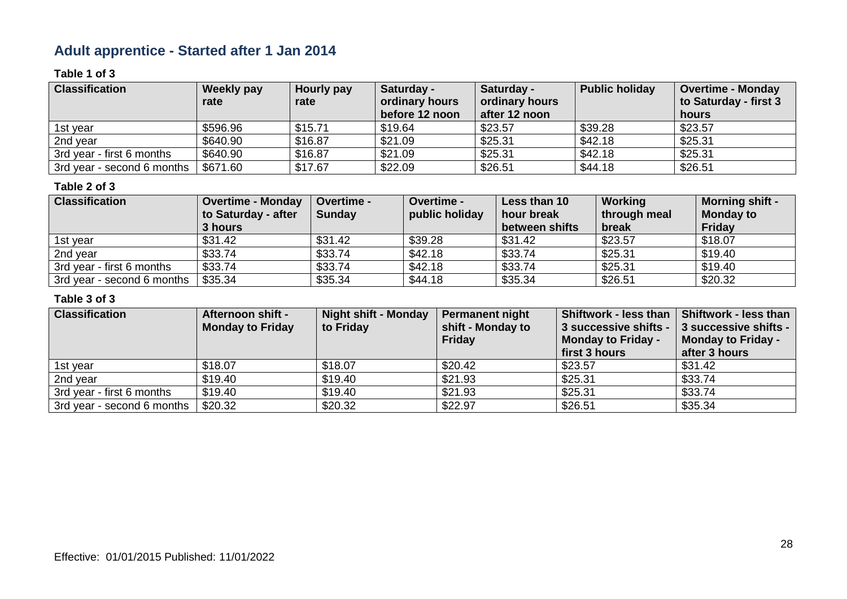# **Adult apprentice - Started after 1 Jan 2014**

### **Table 1 of 3**

| <b>Classification</b>      | Weekly pay<br>rate | Hourly pay<br>rate | Saturday -<br>ordinary hours | Saturday -<br>ordinary hours | <b>Public holiday</b> | <b>Overtime - Monday</b><br>to Saturday - first 3 |
|----------------------------|--------------------|--------------------|------------------------------|------------------------------|-----------------------|---------------------------------------------------|
|                            |                    |                    | before 12 noon               | after 12 noon                |                       | hours                                             |
| 1st year                   | \$596.96           | \$15.71            | \$19.64                      | \$23.57                      | \$39.28               | \$23.57                                           |
| 2nd year                   | \$640.90           | \$16.87            | \$21.09                      | \$25.31                      | \$42.18               | \$25.31                                           |
| 3rd year - first 6 months  | \$640.90           | \$16.87            | \$21.09                      | \$25.31                      | \$42.18               | \$25.31                                           |
| 3rd year - second 6 months | \$671.60           | \$17.67            | \$22.09                      | \$26.51                      | \$44.18               | \$26.51                                           |

### **Table 2 of 3**

| <b>Classification</b>      | <b>Overtime - Monday</b><br>to Saturday - after | <b>Overtime -</b><br><b>Sunday</b> | <b>Overtime -</b><br>public holiday | Less than 10<br>hour break | Working<br>through meal | <b>Morning shift -</b><br><b>Monday to</b> |
|----------------------------|-------------------------------------------------|------------------------------------|-------------------------------------|----------------------------|-------------------------|--------------------------------------------|
|                            | 3 hours                                         |                                    |                                     | between shifts             | break                   | Friday                                     |
| 1st year                   | \$31.42                                         | \$31.42                            | \$39.28                             | \$31.42                    | \$23.57                 | \$18.07                                    |
| 2nd year                   | \$33.74                                         | \$33.74                            | \$42.18                             | \$33.74                    | \$25.31                 | \$19.40                                    |
| 3rd year - first 6 months  | \$33.74                                         | \$33.74                            | \$42.18                             | \$33.74                    | \$25.31                 | \$19.40                                    |
| 3rd year - second 6 months | \$35.34                                         | \$35.34                            | \$44.18                             | \$35.34                    | \$26.51                 | \$20.32                                    |

| <b>Classification</b>      | <b>Afternoon shift -</b><br><b>Monday to Friday</b> | <b>Night shift - Monday</b><br>to Friday | <b>Permanent night</b><br>shift - Monday to<br><b>Friday</b> | <b>Shiftwork - less than</b><br>3 successive shifts -<br><b>Monday to Friday -</b><br>first 3 hours | Shiftwork - less than<br>3 successive shifts -<br><b>Monday to Friday -</b><br>after 3 hours |
|----------------------------|-----------------------------------------------------|------------------------------------------|--------------------------------------------------------------|-----------------------------------------------------------------------------------------------------|----------------------------------------------------------------------------------------------|
| 1st year                   | \$18.07                                             | \$18.07                                  | \$20.42                                                      | \$23.57                                                                                             | \$31.42                                                                                      |
| 2nd year                   | \$19.40                                             | \$19.40                                  | \$21.93                                                      | \$25.31                                                                                             | \$33.74                                                                                      |
| 3rd year - first 6 months  | \$19.40                                             | \$19.40                                  | \$21.93                                                      | \$25.31                                                                                             | \$33.74                                                                                      |
| 3rd year - second 6 months | \$20.32                                             | \$20.32                                  | \$22.97                                                      | \$26.51                                                                                             | \$35.34                                                                                      |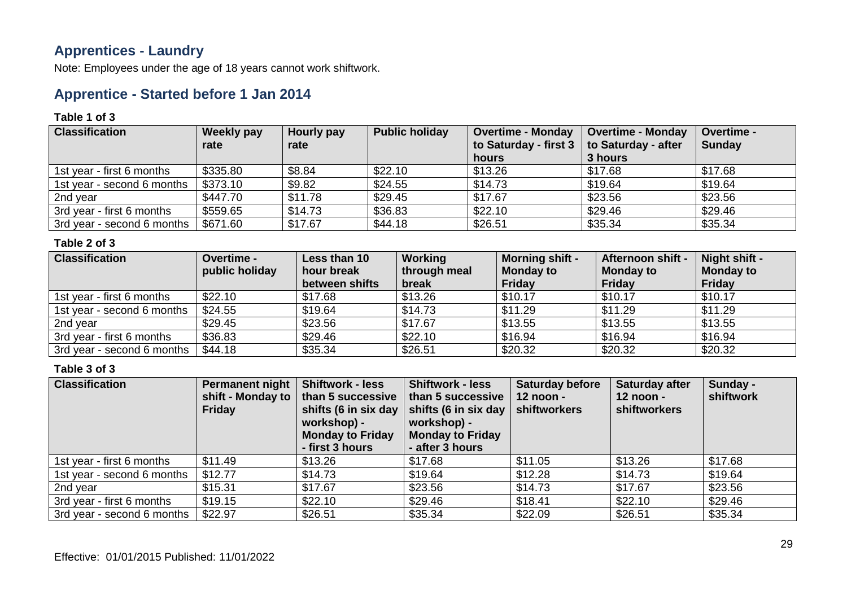### **Apprentices - Laundry**

Note: Employees under the age of 18 years cannot work shiftwork.

### **Apprentice - Started before 1 Jan 2014**

#### **Table 1 of 3**

| <b>Classification</b>      | Weekly pay | Hourly pay | <b>Public holiday</b> | <b>Overtime - Monday</b> | <b>Overtime - Monday</b> | <b>Overtime -</b> |
|----------------------------|------------|------------|-----------------------|--------------------------|--------------------------|-------------------|
|                            | rate       | rate       |                       | to Saturday - first 3    | to Saturday - after      | <b>Sunday</b>     |
|                            |            |            |                       | hours                    | 3 hours                  |                   |
| 1st year - first 6 months  | \$335.80   | \$8.84     | \$22.10               | \$13.26                  | \$17.68                  | \$17.68           |
| 1st year - second 6 months | \$373.10   | \$9.82     | \$24.55               | \$14.73                  | \$19.64                  | \$19.64           |
| 2nd year                   | \$447.70   | \$11.78    | \$29.45               | \$17.67                  | \$23.56                  | \$23.56           |
| 3rd year - first 6 months  | \$559.65   | \$14.73    | \$36.83               | \$22.10                  | \$29.46                  | \$29.46           |
| 3rd year - second 6 months | \$671.60   | \$17.67    | \$44.18               | \$26.51                  | \$35.34                  | \$35.34           |

### **Table 2 of 3**

| <b>Classification</b>      | <b>Overtime -</b><br>public holiday | Less than 10<br>hour break<br>between shifts | Working<br>through meal<br>break | <b>Morning shift -</b><br><b>Monday to</b><br><b>Friday</b> | <b>Afternoon shift -</b><br><b>Monday to</b><br><b>Friday</b> | Night shift -<br><b>Monday to</b><br><b>Friday</b> |
|----------------------------|-------------------------------------|----------------------------------------------|----------------------------------|-------------------------------------------------------------|---------------------------------------------------------------|----------------------------------------------------|
| 1st year - first 6 months  | \$22.10                             | \$17.68                                      | \$13.26                          | \$10.17                                                     | \$10.17                                                       | \$10.17                                            |
| 1st year - second 6 months | \$24.55                             | \$19.64                                      | \$14.73                          | \$11.29                                                     | \$11.29                                                       | \$11.29                                            |
| 2nd year                   | \$29.45                             | \$23.56                                      | \$17.67                          | \$13.55                                                     | \$13.55                                                       | \$13.55                                            |
| 3rd year - first 6 months  | \$36.83                             | \$29.46                                      | \$22.10                          | \$16.94                                                     | \$16.94                                                       | \$16.94                                            |
| 3rd year - second 6 months | \$44.18                             | \$35.34                                      | \$26.51                          | \$20.32                                                     | \$20.32                                                       | \$20.32                                            |

| <b>Classification</b>      | <b>Permanent night</b><br>shift - Monday to<br><b>Friday</b> | <b>Shiftwork - less</b><br>than 5 successive<br>workshop) -<br><b>Monday to Friday</b><br>- first 3 hours | <b>Shiftwork - less</b><br>than 5 successive<br>shifts (6 in six day   shifts (6 in six day<br>workshop) -<br><b>Monday to Friday</b><br>- after 3 hours | <b>Saturday before</b><br>$12$ noon -<br>shiftworkers | <b>Saturday after</b><br>$12$ noon -<br><b>shiftworkers</b> | Sunday -<br>shiftwork |
|----------------------------|--------------------------------------------------------------|-----------------------------------------------------------------------------------------------------------|----------------------------------------------------------------------------------------------------------------------------------------------------------|-------------------------------------------------------|-------------------------------------------------------------|-----------------------|
| 1st year - first 6 months  | \$11.49                                                      | \$13.26                                                                                                   | \$17.68                                                                                                                                                  | \$11.05                                               | \$13.26                                                     | \$17.68               |
| 1st year - second 6 months | \$12.77                                                      | \$14.73                                                                                                   | \$19.64                                                                                                                                                  | \$12.28                                               | \$14.73                                                     | \$19.64               |
| 2nd year                   | \$15.31                                                      | \$17.67                                                                                                   | \$23.56                                                                                                                                                  | \$14.73                                               | \$17.67                                                     | \$23.56               |
| 3rd year - first 6 months  | \$19.15                                                      | \$22.10                                                                                                   | \$29.46                                                                                                                                                  | \$18.41                                               | \$22.10                                                     | \$29.46               |
| 3rd year - second 6 months | \$22.97                                                      | \$26.51                                                                                                   | \$35.34                                                                                                                                                  | \$22.09                                               | \$26.51                                                     | \$35.34               |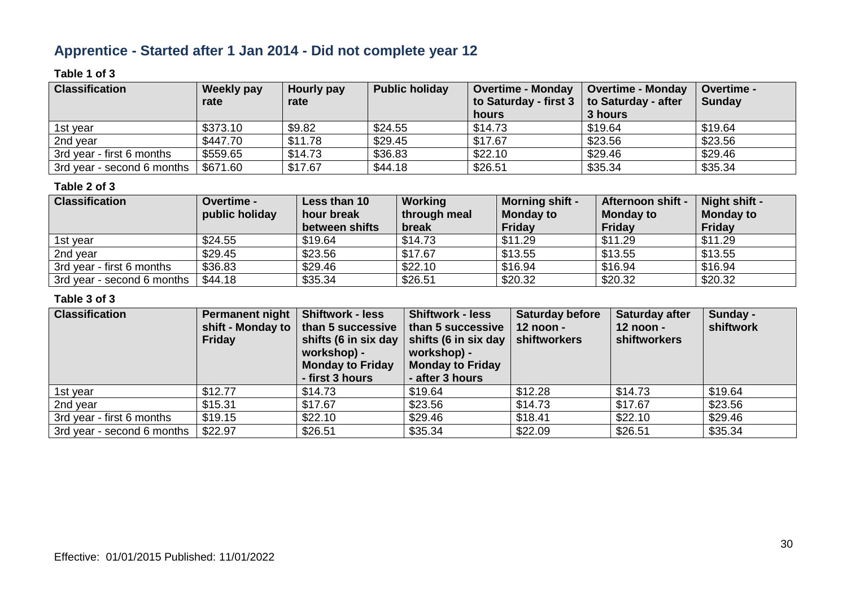# **Apprentice - Started after 1 Jan 2014 - Did not complete year 12**

### **Table 1 of 3**

| <b>Classification</b>      | Weekly pay | Hourly pay | <b>Public holiday</b> | <b>Overtime - Monday</b>                         | <b>Overtime - Monday</b> | <b>Overtime -</b> |
|----------------------------|------------|------------|-----------------------|--------------------------------------------------|--------------------------|-------------------|
|                            | rate       | rate       |                       | to Saturday - first $3 \mid$ to Saturday - after |                          | <b>Sunday</b>     |
|                            |            |            |                       | hours                                            | 3 hours                  |                   |
| 1st year                   | \$373.10   | \$9.82     | \$24.55               | \$14.73                                          | \$19.64                  | \$19.64           |
| 2nd year                   | \$447.70   | \$11.78    | \$29.45               | \$17.67                                          | \$23.56                  | \$23.56           |
| 3rd year - first 6 months  | \$559.65   | \$14.73    | \$36.83               | \$22.10                                          | \$29.46                  | \$29.46           |
| 3rd year - second 6 months | \$671.60   | \$17.67    | \$44.18               | \$26.51                                          | \$35.34                  | \$35.34           |

### **Table 2 of 3**

| <b>Classification</b>      | <b>Overtime -</b><br>public holiday | Less than 10<br>hour break | Working<br>through meal | <b>Morning shift -</b><br><b>Monday to</b> | Afternoon shift -<br><b>Monday to</b> | Night shift -<br><b>Monday to</b> |
|----------------------------|-------------------------------------|----------------------------|-------------------------|--------------------------------------------|---------------------------------------|-----------------------------------|
|                            |                                     | between shifts             | break                   | Friday                                     | Friday                                | Friday                            |
| 1st year                   | \$24.55                             | \$19.64                    | \$14.73                 | \$11.29                                    | \$11.29                               | \$11.29                           |
| 2nd year                   | \$29.45                             | \$23.56                    | \$17.67                 | \$13.55                                    | \$13.55                               | \$13.55                           |
| 3rd year - first 6 months  | \$36.83                             | \$29.46                    | \$22.10                 | \$16.94                                    | \$16.94                               | \$16.94                           |
| 3rd year - second 6 months | \$44.18                             | \$35.34                    | \$26.51                 | \$20.32                                    | \$20.32                               | \$20.32                           |

| <b>Classification</b>      | <b>Permanent night</b><br>shift - Monday to<br><b>Friday</b> | <b>Shiftwork - less</b><br>than 5 successive<br>workshop) -<br><b>Monday to Friday</b><br>- first 3 hours | <b>Shiftwork - less</b><br>than 5 successive<br>shifts (6 in six day $\vert$ shifts (6 in six day<br>workshop) -<br><b>Monday to Friday</b><br>- after 3 hours | <b>Saturday before</b><br>$12$ noon -<br>shiftworkers | Saturday after<br>12 noon -<br>shiftworkers | Sunday -<br>shiftwork |
|----------------------------|--------------------------------------------------------------|-----------------------------------------------------------------------------------------------------------|----------------------------------------------------------------------------------------------------------------------------------------------------------------|-------------------------------------------------------|---------------------------------------------|-----------------------|
| 1st year                   | \$12.77                                                      | \$14.73                                                                                                   | \$19.64                                                                                                                                                        | \$12.28                                               | \$14.73                                     | \$19.64               |
| 2nd year                   | \$15.31                                                      | \$17.67                                                                                                   | \$23.56                                                                                                                                                        | \$14.73                                               | \$17.67                                     | \$23.56               |
| 3rd year - first 6 months  | \$19.15                                                      | \$22.10                                                                                                   | \$29.46                                                                                                                                                        | \$18.41                                               | \$22.10                                     | \$29.46               |
| 3rd year - second 6 months | \$22.97                                                      | \$26.51                                                                                                   | \$35.34                                                                                                                                                        | \$22.09                                               | \$26.51                                     | \$35.34               |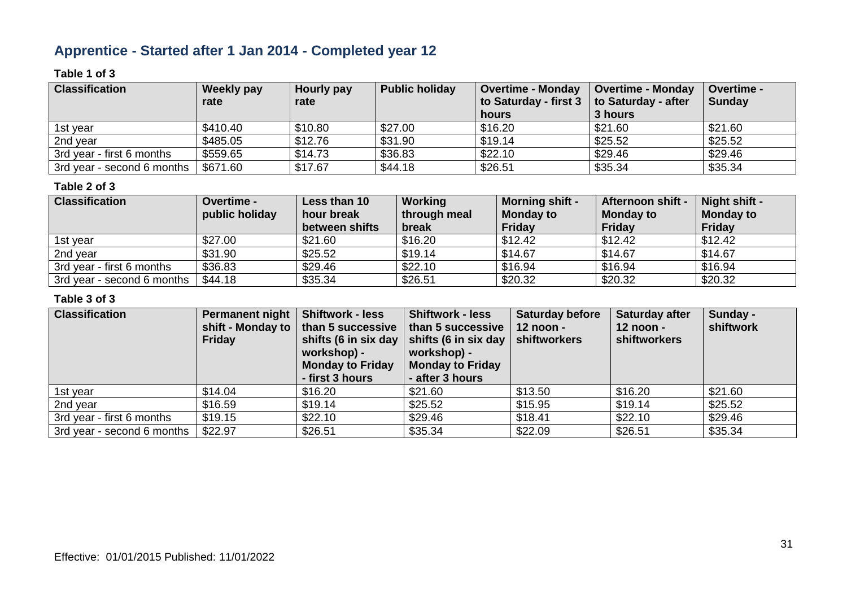# **Apprentice - Started after 1 Jan 2014 - Completed year 12**

### **Table 1 of 3**

| <b>Classification</b>      | Weekly pay | Hourly pay | <b>Public holiday</b> | Overtime - Monday     | <b>Overtime - Monday</b> | <b>Overtime -</b> |
|----------------------------|------------|------------|-----------------------|-----------------------|--------------------------|-------------------|
|                            | rate       | rate       |                       | to Saturday - first 3 | to Saturday - after      | <b>Sunday</b>     |
|                            |            |            |                       | hours                 | 3 hours                  |                   |
| 1st vear                   | \$410.40   | \$10.80    | \$27.00               | \$16.20               | \$21.60                  | \$21.60           |
| 2nd year                   | \$485.05   | \$12.76    | \$31.90               | \$19.14               | \$25.52                  | \$25.52           |
| 3rd year - first 6 months  | \$559.65   | \$14.73    | \$36.83               | \$22.10               | \$29.46                  | \$29.46           |
| 3rd year - second 6 months | \$671.60   | \$17.67    | \$44.18               | \$26.51               | \$35.34                  | \$35.34           |

### **Table 2 of 3**

| <b>Classification</b>      | <b>Overtime -</b><br>public holiday | Less than 10<br>hour break<br>between shifts | Working<br>through meal<br>break | <b>Morning shift -</b><br><b>Monday to</b><br>Friday | Afternoon shift -<br><b>Monday to</b><br><b>Friday</b> | Night shift -<br><b>Monday to</b><br>Friday |
|----------------------------|-------------------------------------|----------------------------------------------|----------------------------------|------------------------------------------------------|--------------------------------------------------------|---------------------------------------------|
| 1st year                   | \$27.00                             | \$21.60                                      | \$16.20                          | \$12.42                                              | \$12.42                                                | \$12.42                                     |
| 2nd year                   | \$31.90                             | \$25.52                                      | \$19.14                          | \$14.67                                              | \$14.67                                                | \$14.67                                     |
| 3rd year - first 6 months  | \$36.83                             | \$29.46                                      | \$22.10                          | \$16.94                                              | \$16.94                                                | \$16.94                                     |
| 3rd year - second 6 months | \$44.18                             | \$35.34                                      | \$26.51                          | \$20.32                                              | \$20.32                                                | \$20.32                                     |

| <b>Classification</b>      | Permanent night<br>shift - Monday to<br><b>Friday</b> | <b>Shiftwork - less</b><br>than 5 successive<br>shifts (6 in six day<br>workshop) -<br><b>Monday to Friday</b><br>- first 3 hours | <b>Shiftwork - less</b><br>than 5 successive<br>shifts (6 in six day<br>workshop) -<br><b>Monday to Friday</b><br>- after 3 hours | <b>Saturday before</b><br>$12$ noon -<br>shiftworkers | Saturday after<br>$12$ noon -<br>shiftworkers | Sunday -<br>shiftwork |
|----------------------------|-------------------------------------------------------|-----------------------------------------------------------------------------------------------------------------------------------|-----------------------------------------------------------------------------------------------------------------------------------|-------------------------------------------------------|-----------------------------------------------|-----------------------|
| 1st year                   | \$14.04                                               | \$16.20                                                                                                                           | \$21.60                                                                                                                           | \$13.50                                               | \$16.20                                       | \$21.60               |
| 2nd year                   | \$16.59                                               | \$19.14                                                                                                                           | \$25.52                                                                                                                           | \$15.95                                               | \$19.14                                       | \$25.52               |
| 3rd year - first 6 months  | \$19.15                                               | \$22.10                                                                                                                           | \$29.46                                                                                                                           | \$18.41                                               | \$22.10                                       | \$29.46               |
| 3rd year - second 6 months | \$22.97                                               | \$26.51                                                                                                                           | \$35.34                                                                                                                           | \$22.09                                               | \$26.51                                       | \$35.34               |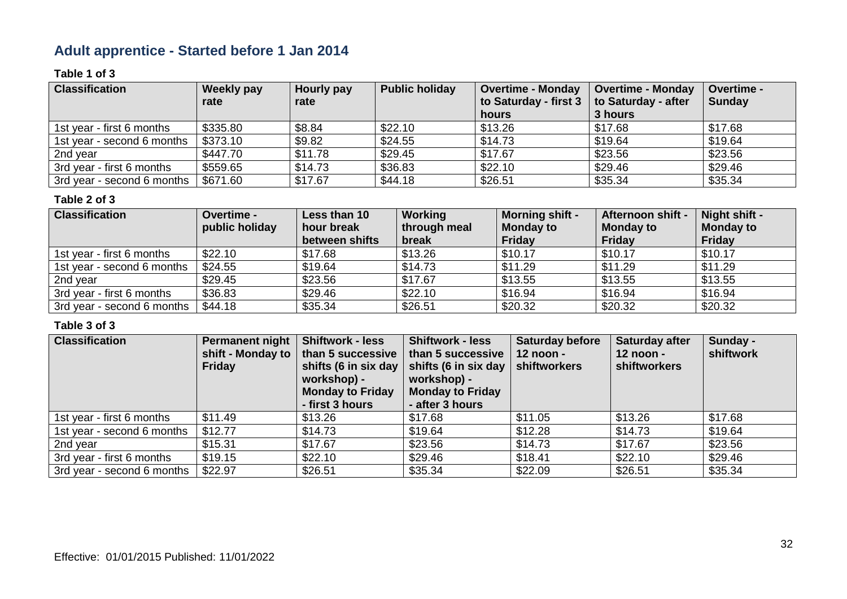# **Adult apprentice - Started before 1 Jan 2014**

### **Table 1 of 3**

| <b>Classification</b>      | Weekly pay | Hourly pay | <b>Public holiday</b> | <b>Overtime - Monday</b> | <b>Overtime - Monday</b> | Overtime -    |
|----------------------------|------------|------------|-----------------------|--------------------------|--------------------------|---------------|
|                            | rate       | rate       |                       | to Saturday - first 3    | to Saturday - after      | <b>Sunday</b> |
|                            |            |            |                       | hours                    | 3 hours                  |               |
| 1st year - first 6 months  | \$335.80   | \$8.84     | \$22.10               | \$13.26                  | \$17.68                  | \$17.68       |
| 1st year - second 6 months | \$373.10   | \$9.82     | \$24.55               | \$14.73                  | \$19.64                  | \$19.64       |
| 2nd year                   | \$447.70   | \$11.78    | \$29.45               | \$17.67                  | \$23.56                  | \$23.56       |
| 3rd year - first 6 months  | \$559.65   | \$14.73    | \$36.83               | \$22.10                  | \$29.46                  | \$29.46       |
| 3rd year - second 6 months | \$671.60   | \$17.67    | \$44.18               | \$26.51                  | \$35.34                  | \$35.34       |

#### **Table 2 of 3**

| <b>Classification</b>      | Overtime -<br>public holiday | Less than 10<br>hour break<br>between shifts | Working<br>through meal<br>break | <b>Morning shift -</b><br><b>Monday to</b><br><b>Friday</b> | Afternoon shift -<br><b>Monday to</b><br>Friday | Night shift -<br><b>Monday to</b><br><b>Friday</b> |
|----------------------------|------------------------------|----------------------------------------------|----------------------------------|-------------------------------------------------------------|-------------------------------------------------|----------------------------------------------------|
| 1st year - first 6 months  | \$22.10                      | \$17.68                                      | \$13.26                          | \$10.17                                                     | \$10.17                                         | \$10.17                                            |
| 1st year - second 6 months | \$24.55                      | \$19.64                                      | \$14.73                          | \$11.29                                                     | \$11.29                                         | \$11.29                                            |
| 2nd year                   | \$29.45                      | \$23.56                                      | \$17.67                          | \$13.55                                                     | \$13.55                                         | \$13.55                                            |
| 3rd year - first 6 months  | \$36.83                      | \$29.46                                      | \$22.10                          | \$16.94                                                     | \$16.94                                         | \$16.94                                            |
| 3rd year - second 6 months | \$44.18                      | \$35.34                                      | \$26.51                          | \$20.32                                                     | \$20.32                                         | \$20.32                                            |

| <b>Classification</b>      | <b>Permanent night</b><br>shift - Monday to<br><b>Friday</b> | <b>Shiftwork - less</b><br>than 5 successive<br>shifts (6 in six day<br>workshop) -<br><b>Monday to Friday</b><br>- first 3 hours | <b>Shiftwork - less</b><br>than 5 successive<br>shifts (6 in six day<br>workshop) -<br><b>Monday to Friday</b><br>- after 3 hours | <b>Saturday before</b><br>12 noon -<br>shiftworkers | Saturday after<br>$12$ noon -<br><b>shiftworkers</b> | Sunday -<br>shiftwork |
|----------------------------|--------------------------------------------------------------|-----------------------------------------------------------------------------------------------------------------------------------|-----------------------------------------------------------------------------------------------------------------------------------|-----------------------------------------------------|------------------------------------------------------|-----------------------|
| 1st year - first 6 months  | \$11.49                                                      | \$13.26                                                                                                                           | \$17.68                                                                                                                           | \$11.05                                             | \$13.26                                              | \$17.68               |
| 1st year - second 6 months | \$12.77                                                      | \$14.73                                                                                                                           | \$19.64                                                                                                                           | \$12.28                                             | \$14.73                                              | \$19.64               |
| 2nd year                   | \$15.31                                                      | \$17.67                                                                                                                           | \$23.56                                                                                                                           | \$14.73                                             | \$17.67                                              | \$23.56               |
| 3rd year - first 6 months  | \$19.15                                                      | \$22.10                                                                                                                           | \$29.46                                                                                                                           | \$18.41                                             | \$22.10                                              | \$29.46               |
| 3rd year - second 6 months | \$22.97                                                      | \$26.51                                                                                                                           | \$35.34                                                                                                                           | \$22.09                                             | \$26.51                                              | \$35.34               |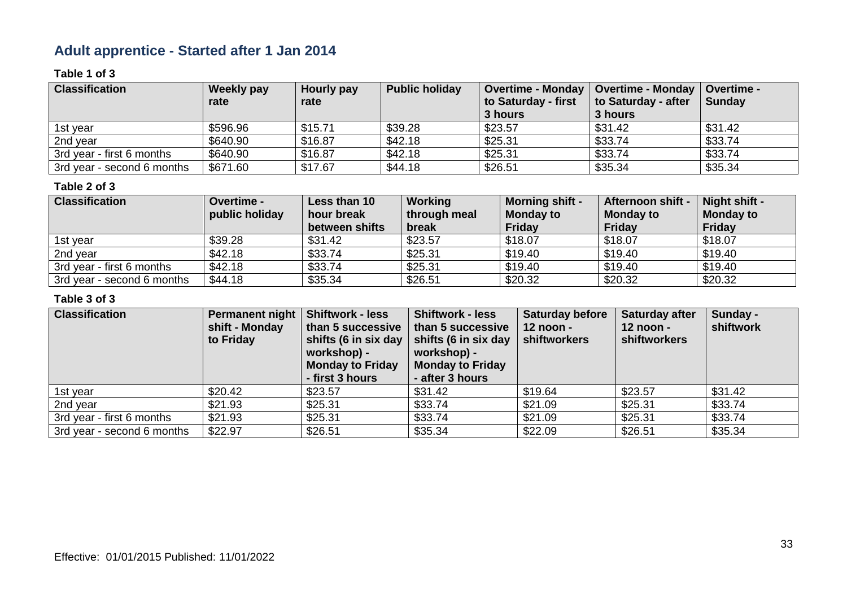# **Adult apprentice - Started after 1 Jan 2014**

### **Table 1 of 3**

| <b>Classification</b>      | <b>Weekly pay</b> | Hourly pay | <b>Public holiday</b> | <b>Overtime - Monday</b> | <b>Overtime - Monday</b> | <b>Overtime -</b> |
|----------------------------|-------------------|------------|-----------------------|--------------------------|--------------------------|-------------------|
|                            | rate              | rate       |                       | to Saturday - first      | to Saturday - after      | <b>Sunday</b>     |
|                            |                   |            |                       | 3 hours                  | 3 hours                  |                   |
| 1st year                   | \$596.96          | \$15.71    | \$39.28               | \$23.57                  | \$31.42                  | \$31.42           |
| 2nd year                   | \$640.90          | \$16.87    | \$42.18               | \$25.31                  | \$33.74                  | \$33.74           |
| 3rd year - first 6 months  | \$640.90          | \$16.87    | \$42.18               | \$25.31                  | \$33.74                  | \$33.74           |
| 3rd year - second 6 months | \$671.60          | \$17.67    | \$44.18               | \$26.51                  | \$35.34                  | \$35.34           |

### **Table 2 of 3**

| <b>Classification</b>      | <b>Overtime -</b><br>public holiday | Less than 10<br>hour break | Working<br>through meal | <b>Morning shift -</b><br><b>Monday to</b> | <b>Afternoon shift -</b><br><b>Monday to</b> | Night shift -<br><b>Monday to</b> |
|----------------------------|-------------------------------------|----------------------------|-------------------------|--------------------------------------------|----------------------------------------------|-----------------------------------|
|                            |                                     | between shifts             | break                   | Friday                                     | <b>Friday</b>                                | <b>Friday</b>                     |
| 1st year                   | \$39.28                             | \$31.42                    | \$23.57                 | \$18.07                                    | \$18.07                                      | \$18.07                           |
| 2nd year                   | \$42.18                             | \$33.74                    | \$25.31                 | \$19.40                                    | \$19.40                                      | \$19.40                           |
| 3rd year - first 6 months  | \$42.18                             | \$33.74                    | \$25.31                 | \$19.40                                    | \$19.40                                      | \$19.40                           |
| 3rd year - second 6 months | \$44.18                             | \$35.34                    | \$26.51                 | \$20.32                                    | \$20.32                                      | \$20.32                           |

| <b>Classification</b>      | <b>Permanent night</b><br>shift - Monday<br>to Friday | <b>Shiftwork - less</b><br>than 5 successive<br>shifts (6 in six day<br>workshop) -<br><b>Monday to Friday</b><br>- first 3 hours | <b>Shiftwork - less</b><br>than 5 successive<br>shifts (6 in six day<br>workshop) -<br><b>Monday to Friday</b><br>- after 3 hours | <b>Saturday before</b><br>12 noon -<br>shiftworkers | <b>Saturday after</b><br>$12$ noon -<br><b>shiftworkers</b> | Sunday -<br>shiftwork |
|----------------------------|-------------------------------------------------------|-----------------------------------------------------------------------------------------------------------------------------------|-----------------------------------------------------------------------------------------------------------------------------------|-----------------------------------------------------|-------------------------------------------------------------|-----------------------|
| 1st year                   | \$20.42                                               | \$23.57                                                                                                                           | \$31.42                                                                                                                           | \$19.64                                             | \$23.57                                                     | \$31.42               |
| 2nd year                   | \$21.93                                               | \$25.31                                                                                                                           | \$33.74                                                                                                                           | \$21.09                                             | \$25.31                                                     | \$33.74               |
| 3rd year - first 6 months  | \$21.93                                               | \$25.31                                                                                                                           | \$33.74                                                                                                                           | \$21.09                                             | \$25.31                                                     | \$33.74               |
| 3rd year - second 6 months | \$22.97                                               | \$26.51                                                                                                                           | \$35.34                                                                                                                           | \$22.09                                             | \$26.51                                                     | \$35.34               |